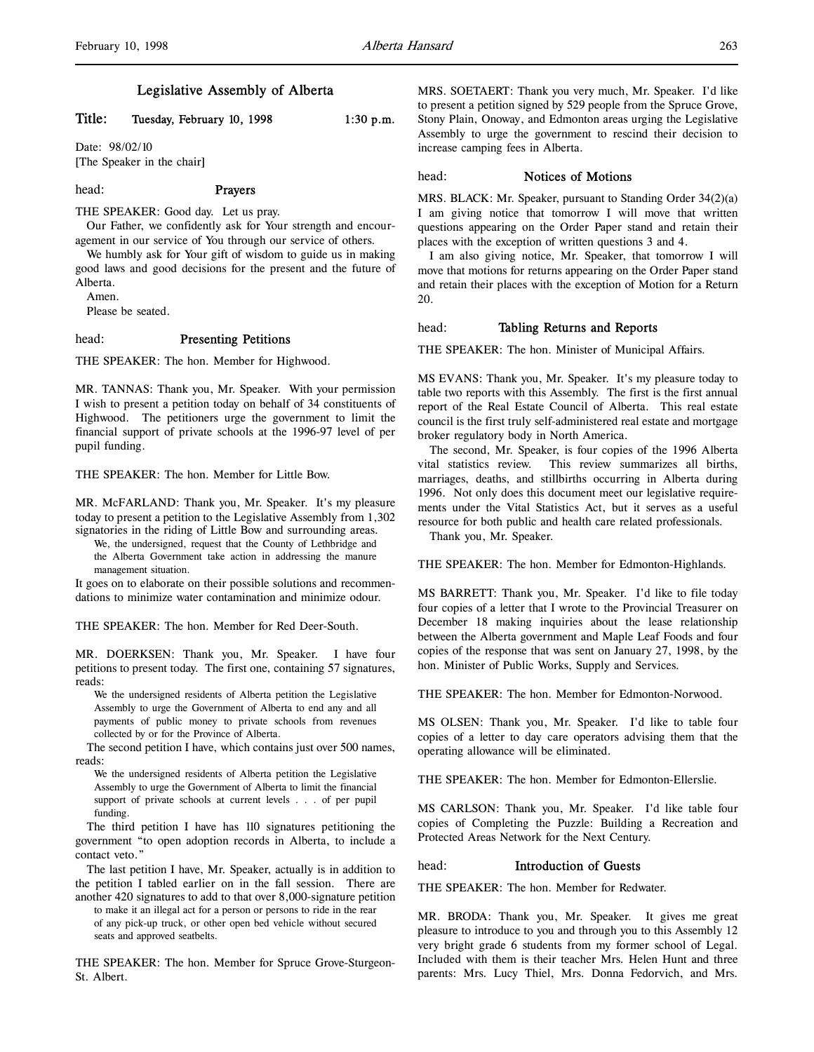# Legislative Assembly of Alberta

# Title: Tuesday, February 10, 1998 1:30 p.m.

Date: 98/02/10 [The Speaker in the chair]

#### head: Prayers

THE SPEAKER: Good day. Let us pray.

Our Father, we confidently ask for Your strength and encouragement in our service of You through our service of others.

We humbly ask for Your gift of wisdom to guide us in making good laws and good decisions for the present and the future of Alberta.

Amen.

Please be seated.

#### head: Presenting Petitions

THE SPEAKER: The hon. Member for Highwood.

MR. TANNAS: Thank you, Mr. Speaker. With your permission I wish to present a petition today on behalf of 34 constituents of Highwood. The petitioners urge the government to limit the financial support of private schools at the 1996-97 level of per pupil funding.

THE SPEAKER: The hon. Member for Little Bow.

MR. McFARLAND: Thank you, Mr. Speaker. It's my pleasure today to present a petition to the Legislative Assembly from 1,302 signatories in the riding of Little Bow and surrounding areas.

We, the undersigned, request that the County of Lethbridge and the Alberta Government take action in addressing the manure management situation.

It goes on to elaborate on their possible solutions and recommendations to minimize water contamination and minimize odour.

THE SPEAKER: The hon. Member for Red Deer-South.

MR. DOERKSEN: Thank you, Mr. Speaker. I have four petitions to present today. The first one, containing 57 signatures, reads:

We the undersigned residents of Alberta petition the Legislative Assembly to urge the Government of Alberta to end any and all payments of public money to private schools from revenues collected by or for the Province of Alberta.

The second petition I have, which contains just over 500 names, reads:

We the undersigned residents of Alberta petition the Legislative Assembly to urge the Government of Alberta to limit the financial support of private schools at current levels . . . of per pupil funding.

The third petition I have has 110 signatures petitioning the government "to open adoption records in Alberta, to include a contact veto."

The last petition I have, Mr. Speaker, actually is in addition to the petition I tabled earlier on in the fall session. There are another 420 signatures to add to that over 8,000-signature petition

to make it an illegal act for a person or persons to ride in the rear of any pick-up truck, or other open bed vehicle without secured seats and approved seatbelts.

THE SPEAKER: The hon. Member for Spruce Grove-Sturgeon-St. Albert.

MRS. SOETAERT: Thank you very much, Mr. Speaker. I'd like to present a petition signed by 529 people from the Spruce Grove, Stony Plain, Onoway, and Edmonton areas urging the Legislative Assembly to urge the government to rescind their decision to increase camping fees in Alberta.

### head: Notices of Motions

MRS. BLACK: Mr. Speaker, pursuant to Standing Order 34(2)(a) I am giving notice that tomorrow I will move that written questions appearing on the Order Paper stand and retain their places with the exception of written questions 3 and 4.

I am also giving notice, Mr. Speaker, that tomorrow I will move that motions for returns appearing on the Order Paper stand and retain their places with the exception of Motion for a Return 20.

### head: Tabling Returns and Reports

THE SPEAKER: The hon. Minister of Municipal Affairs.

MS EVANS: Thank you, Mr. Speaker. It's my pleasure today to table two reports with this Assembly. The first is the first annual report of the Real Estate Council of Alberta. This real estate council is the first truly self-administered real estate and mortgage broker regulatory body in North America.

The second, Mr. Speaker, is four copies of the 1996 Alberta vital statistics review. This review summarizes all births, marriages, deaths, and stillbirths occurring in Alberta during 1996. Not only does this document meet our legislative requirements under the Vital Statistics Act, but it serves as a useful resource for both public and health care related professionals.

Thank you, Mr. Speaker.

THE SPEAKER: The hon. Member for Edmonton-Highlands.

MS BARRETT: Thank you, Mr. Speaker. I'd like to file today four copies of a letter that I wrote to the Provincial Treasurer on December 18 making inquiries about the lease relationship between the Alberta government and Maple Leaf Foods and four copies of the response that was sent on January 27, 1998, by the hon. Minister of Public Works, Supply and Services.

THE SPEAKER: The hon. Member for Edmonton-Norwood.

MS OLSEN: Thank you, Mr. Speaker. I'd like to table four copies of a letter to day care operators advising them that the operating allowance will be eliminated.

THE SPEAKER: The hon. Member for Edmonton-Ellerslie.

MS CARLSON: Thank you, Mr. Speaker. I'd like table four copies of Completing the Puzzle: Building a Recreation and Protected Areas Network for the Next Century.

#### head: Introduction of Guests

THE SPEAKER: The hon. Member for Redwater.

MR. BRODA: Thank you, Mr. Speaker. It gives me great pleasure to introduce to you and through you to this Assembly 12 very bright grade 6 students from my former school of Legal. Included with them is their teacher Mrs. Helen Hunt and three parents: Mrs. Lucy Thiel, Mrs. Donna Fedorvich, and Mrs.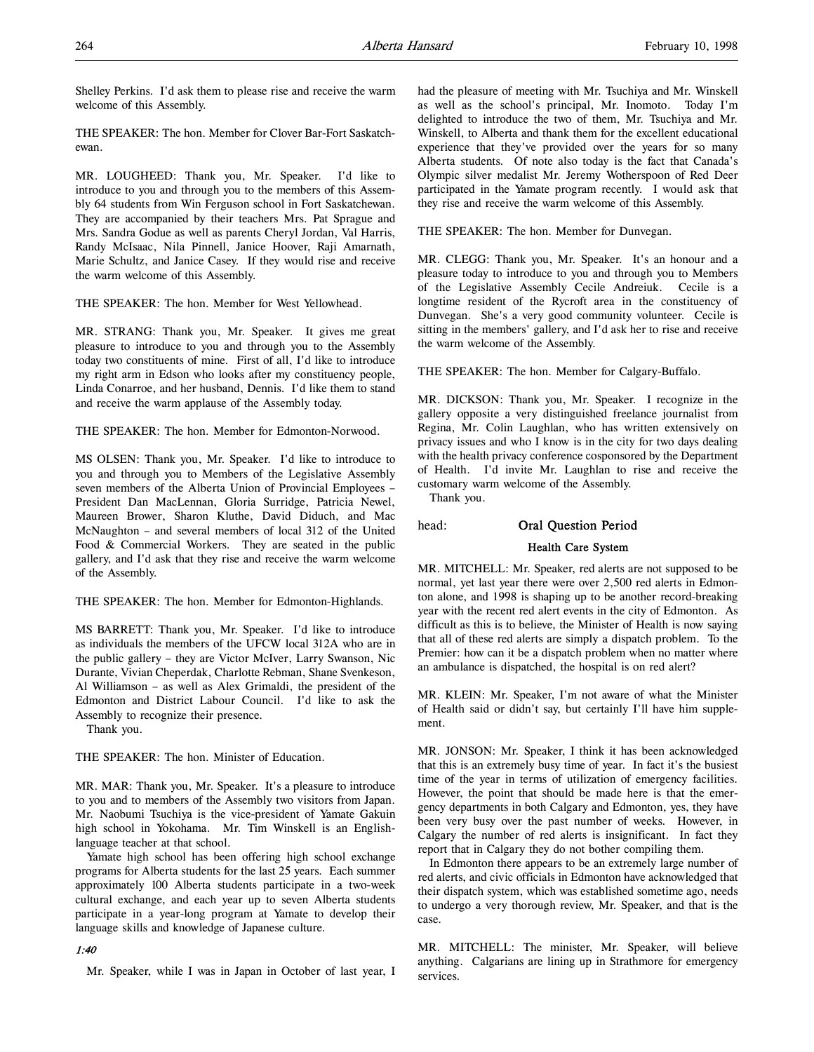Shelley Perkins. I'd ask them to please rise and receive the warm welcome of this Assembly.

THE SPEAKER: The hon. Member for Clover Bar-Fort Saskatchewan.

MR. LOUGHEED: Thank you, Mr. Speaker. I'd like to introduce to you and through you to the members of this Assembly 64 students from Win Ferguson school in Fort Saskatchewan. They are accompanied by their teachers Mrs. Pat Sprague and Mrs. Sandra Godue as well as parents Cheryl Jordan, Val Harris, Randy McIsaac, Nila Pinnell, Janice Hoover, Raji Amarnath, Marie Schultz, and Janice Casey. If they would rise and receive the warm welcome of this Assembly.

THE SPEAKER: The hon. Member for West Yellowhead.

MR. STRANG: Thank you, Mr. Speaker. It gives me great pleasure to introduce to you and through you to the Assembly today two constituents of mine. First of all, I'd like to introduce my right arm in Edson who looks after my constituency people, Linda Conarroe, and her husband, Dennis. I'd like them to stand and receive the warm applause of the Assembly today.

THE SPEAKER: The hon. Member for Edmonton-Norwood.

MS OLSEN: Thank you, Mr. Speaker. I'd like to introduce to you and through you to Members of the Legislative Assembly seven members of the Alberta Union of Provincial Employees – President Dan MacLennan, Gloria Surridge, Patricia Newel, Maureen Brower, Sharon Kluthe, David Diduch, and Mac McNaughton – and several members of local 312 of the United Food & Commercial Workers. They are seated in the public gallery, and I'd ask that they rise and receive the warm welcome of the Assembly.

THE SPEAKER: The hon. Member for Edmonton-Highlands.

MS BARRETT: Thank you, Mr. Speaker. I'd like to introduce as individuals the members of the UFCW local 312A who are in the public gallery – they are Victor McIver, Larry Swanson, Nic Durante, Vivian Cheperdak, Charlotte Rebman, Shane Svenkeson, Al Williamson – as well as Alex Grimaldi, the president of the Edmonton and District Labour Council. I'd like to ask the Assembly to recognize their presence.

Thank you.

THE SPEAKER: The hon. Minister of Education.

MR. MAR: Thank you, Mr. Speaker. It's a pleasure to introduce to you and to members of the Assembly two visitors from Japan. Mr. Naobumi Tsuchiya is the vice-president of Yamate Gakuin high school in Yokohama. Mr. Tim Winskell is an Englishlanguage teacher at that school.

Yamate high school has been offering high school exchange programs for Alberta students for the last 25 years. Each summer approximately 100 Alberta students participate in a two-week cultural exchange, and each year up to seven Alberta students participate in a year-long program at Yamate to develop their language skills and knowledge of Japanese culture.

### 1:40

Mr. Speaker, while I was in Japan in October of last year, I

had the pleasure of meeting with Mr. Tsuchiya and Mr. Winskell as well as the school's principal, Mr. Inomoto. Today I'm delighted to introduce the two of them, Mr. Tsuchiya and Mr. Winskell, to Alberta and thank them for the excellent educational experience that they've provided over the years for so many Alberta students. Of note also today is the fact that Canada's Olympic silver medalist Mr. Jeremy Wotherspoon of Red Deer participated in the Yamate program recently. I would ask that they rise and receive the warm welcome of this Assembly.

THE SPEAKER: The hon. Member for Dunvegan.

MR. CLEGG: Thank you, Mr. Speaker. It's an honour and a pleasure today to introduce to you and through you to Members of the Legislative Assembly Cecile Andreiuk. Cecile is a longtime resident of the Rycroft area in the constituency of Dunvegan. She's a very good community volunteer. Cecile is sitting in the members' gallery, and I'd ask her to rise and receive the warm welcome of the Assembly.

THE SPEAKER: The hon. Member for Calgary-Buffalo.

MR. DICKSON: Thank you, Mr. Speaker. I recognize in the gallery opposite a very distinguished freelance journalist from Regina, Mr. Colin Laughlan, who has written extensively on privacy issues and who I know is in the city for two days dealing with the health privacy conference cosponsored by the Department of Health. I'd invite Mr. Laughlan to rise and receive the customary warm welcome of the Assembly.

Thank you.

### head: Oral Question Period

### Health Care System

MR. MITCHELL: Mr. Speaker, red alerts are not supposed to be normal, yet last year there were over 2,500 red alerts in Edmonton alone, and 1998 is shaping up to be another record-breaking year with the recent red alert events in the city of Edmonton. As difficult as this is to believe, the Minister of Health is now saying that all of these red alerts are simply a dispatch problem. To the Premier: how can it be a dispatch problem when no matter where an ambulance is dispatched, the hospital is on red alert?

MR. KLEIN: Mr. Speaker, I'm not aware of what the Minister of Health said or didn't say, but certainly I'll have him supplement.

MR. JONSON: Mr. Speaker, I think it has been acknowledged that this is an extremely busy time of year. In fact it's the busiest time of the year in terms of utilization of emergency facilities. However, the point that should be made here is that the emergency departments in both Calgary and Edmonton, yes, they have been very busy over the past number of weeks. However, in Calgary the number of red alerts is insignificant. In fact they report that in Calgary they do not bother compiling them.

In Edmonton there appears to be an extremely large number of red alerts, and civic officials in Edmonton have acknowledged that their dispatch system, which was established sometime ago, needs to undergo a very thorough review, Mr. Speaker, and that is the case.

MR. MITCHELL: The minister, Mr. Speaker, will believe anything. Calgarians are lining up in Strathmore for emergency services.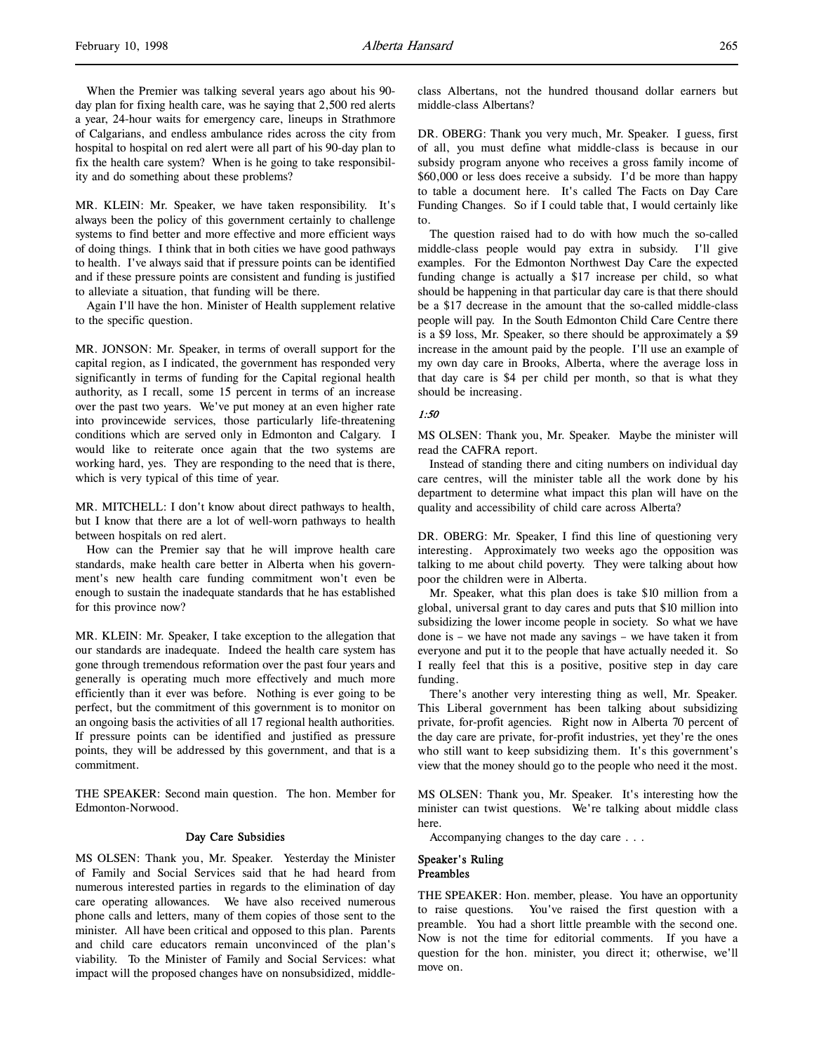MR. KLEIN: Mr. Speaker, we have taken responsibility. It's always been the policy of this government certainly to challenge systems to find better and more effective and more efficient ways of doing things. I think that in both cities we have good pathways to health. I've always said that if pressure points can be identified and if these pressure points are consistent and funding is justified to alleviate a situation, that funding will be there.

Again I'll have the hon. Minister of Health supplement relative to the specific question.

MR. JONSON: Mr. Speaker, in terms of overall support for the capital region, as I indicated, the government has responded very significantly in terms of funding for the Capital regional health authority, as I recall, some 15 percent in terms of an increase over the past two years. We've put money at an even higher rate into provincewide services, those particularly life-threatening conditions which are served only in Edmonton and Calgary. I would like to reiterate once again that the two systems are working hard, yes. They are responding to the need that is there, which is very typical of this time of year.

MR. MITCHELL: I don't know about direct pathways to health, but I know that there are a lot of well-worn pathways to health between hospitals on red alert.

How can the Premier say that he will improve health care standards, make health care better in Alberta when his government's new health care funding commitment won't even be enough to sustain the inadequate standards that he has established for this province now?

MR. KLEIN: Mr. Speaker, I take exception to the allegation that our standards are inadequate. Indeed the health care system has gone through tremendous reformation over the past four years and generally is operating much more effectively and much more efficiently than it ever was before. Nothing is ever going to be perfect, but the commitment of this government is to monitor on an ongoing basis the activities of all 17 regional health authorities. If pressure points can be identified and justified as pressure points, they will be addressed by this government, and that is a commitment.

THE SPEAKER: Second main question. The hon. Member for Edmonton-Norwood.

#### Day Care Subsidies

MS OLSEN: Thank you, Mr. Speaker. Yesterday the Minister of Family and Social Services said that he had heard from numerous interested parties in regards to the elimination of day care operating allowances. We have also received numerous phone calls and letters, many of them copies of those sent to the minister. All have been critical and opposed to this plan. Parents and child care educators remain unconvinced of the plan's viability. To the Minister of Family and Social Services: what impact will the proposed changes have on nonsubsidized, middleclass Albertans, not the hundred thousand dollar earners but middle-class Albertans?

DR. OBERG: Thank you very much, Mr. Speaker. I guess, first of all, you must define what middle-class is because in our subsidy program anyone who receives a gross family income of \$60,000 or less does receive a subsidy. I'd be more than happy to table a document here. It's called The Facts on Day Care Funding Changes. So if I could table that, I would certainly like to.

The question raised had to do with how much the so-called middle-class people would pay extra in subsidy. I'll give examples. For the Edmonton Northwest Day Care the expected funding change is actually a \$17 increase per child, so what should be happening in that particular day care is that there should be a \$17 decrease in the amount that the so-called middle-class people will pay. In the South Edmonton Child Care Centre there is a \$9 loss, Mr. Speaker, so there should be approximately a \$9 increase in the amount paid by the people. I'll use an example of my own day care in Brooks, Alberta, where the average loss in that day care is \$4 per child per month, so that is what they should be increasing.

# 1:50

MS OLSEN: Thank you, Mr. Speaker. Maybe the minister will read the CAFRA report.

Instead of standing there and citing numbers on individual day care centres, will the minister table all the work done by his department to determine what impact this plan will have on the quality and accessibility of child care across Alberta?

DR. OBERG: Mr. Speaker, I find this line of questioning very interesting. Approximately two weeks ago the opposition was talking to me about child poverty. They were talking about how poor the children were in Alberta.

Mr. Speaker, what this plan does is take \$10 million from a global, universal grant to day cares and puts that \$10 million into subsidizing the lower income people in society. So what we have done is – we have not made any savings – we have taken it from everyone and put it to the people that have actually needed it. So I really feel that this is a positive, positive step in day care funding.

There's another very interesting thing as well, Mr. Speaker. This Liberal government has been talking about subsidizing private, for-profit agencies. Right now in Alberta 70 percent of the day care are private, for-profit industries, yet they're the ones who still want to keep subsidizing them. It's this government's view that the money should go to the people who need it the most.

MS OLSEN: Thank you, Mr. Speaker. It's interesting how the minister can twist questions. We're talking about middle class here.

Accompanying changes to the day care . . .

## Speaker's Ruling Preambles

THE SPEAKER: Hon. member, please. You have an opportunity to raise questions. You've raised the first question with a preamble. You had a short little preamble with the second one. Now is not the time for editorial comments. If you have a question for the hon. minister, you direct it; otherwise, we'll move on.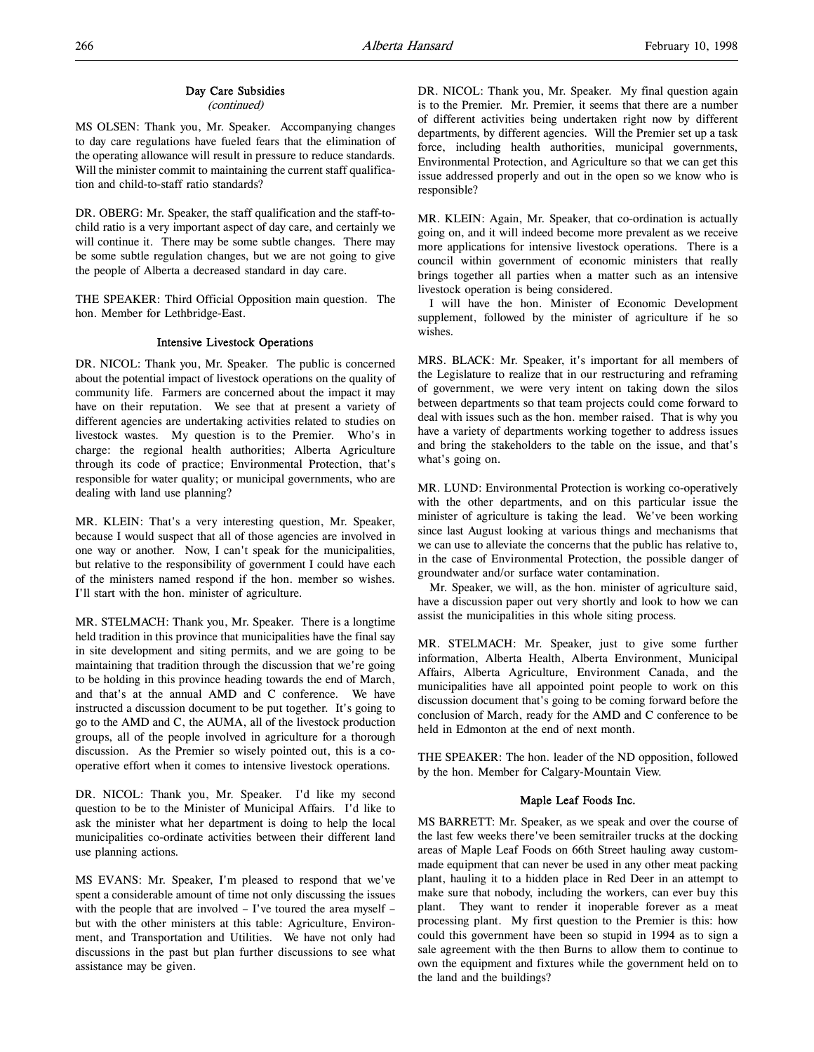# Day Care Subsidies

(continued)

MS OLSEN: Thank you, Mr. Speaker. Accompanying changes to day care regulations have fueled fears that the elimination of the operating allowance will result in pressure to reduce standards. Will the minister commit to maintaining the current staff qualification and child-to-staff ratio standards?

DR. OBERG: Mr. Speaker, the staff qualification and the staff-tochild ratio is a very important aspect of day care, and certainly we will continue it. There may be some subtle changes. There may be some subtle regulation changes, but we are not going to give the people of Alberta a decreased standard in day care.

THE SPEAKER: Third Official Opposition main question. The hon. Member for Lethbridge-East.

# Intensive Livestock Operations

DR. NICOL: Thank you, Mr. Speaker. The public is concerned about the potential impact of livestock operations on the quality of community life. Farmers are concerned about the impact it may have on their reputation. We see that at present a variety of different agencies are undertaking activities related to studies on livestock wastes. My question is to the Premier. Who's in charge: the regional health authorities; Alberta Agriculture through its code of practice; Environmental Protection, that's responsible for water quality; or municipal governments, who are dealing with land use planning?

MR. KLEIN: That's a very interesting question, Mr. Speaker, because I would suspect that all of those agencies are involved in one way or another. Now, I can't speak for the municipalities, but relative to the responsibility of government I could have each of the ministers named respond if the hon. member so wishes. I'll start with the hon. minister of agriculture.

MR. STELMACH: Thank you, Mr. Speaker. There is a longtime held tradition in this province that municipalities have the final say in site development and siting permits, and we are going to be maintaining that tradition through the discussion that we're going to be holding in this province heading towards the end of March, and that's at the annual AMD and C conference. We have instructed a discussion document to be put together. It's going to go to the AMD and C, the AUMA, all of the livestock production groups, all of the people involved in agriculture for a thorough discussion. As the Premier so wisely pointed out, this is a cooperative effort when it comes to intensive livestock operations.

DR. NICOL: Thank you, Mr. Speaker. I'd like my second question to be to the Minister of Municipal Affairs. I'd like to ask the minister what her department is doing to help the local municipalities co-ordinate activities between their different land use planning actions.

MS EVANS: Mr. Speaker, I'm pleased to respond that we've spent a considerable amount of time not only discussing the issues with the people that are involved – I've toured the area myself – but with the other ministers at this table: Agriculture, Environment, and Transportation and Utilities. We have not only had discussions in the past but plan further discussions to see what assistance may be given.

DR. NICOL: Thank you, Mr. Speaker. My final question again is to the Premier. Mr. Premier, it seems that there are a number of different activities being undertaken right now by different departments, by different agencies. Will the Premier set up a task force, including health authorities, municipal governments, Environmental Protection, and Agriculture so that we can get this issue addressed properly and out in the open so we know who is responsible?

MR. KLEIN: Again, Mr. Speaker, that co-ordination is actually going on, and it will indeed become more prevalent as we receive more applications for intensive livestock operations. There is a council within government of economic ministers that really brings together all parties when a matter such as an intensive livestock operation is being considered.

I will have the hon. Minister of Economic Development supplement, followed by the minister of agriculture if he so wishes.

MRS. BLACK: Mr. Speaker, it's important for all members of the Legislature to realize that in our restructuring and reframing of government, we were very intent on taking down the silos between departments so that team projects could come forward to deal with issues such as the hon. member raised. That is why you have a variety of departments working together to address issues and bring the stakeholders to the table on the issue, and that's what's going on.

MR. LUND: Environmental Protection is working co-operatively with the other departments, and on this particular issue the minister of agriculture is taking the lead. We've been working since last August looking at various things and mechanisms that we can use to alleviate the concerns that the public has relative to, in the case of Environmental Protection, the possible danger of groundwater and/or surface water contamination.

Mr. Speaker, we will, as the hon. minister of agriculture said, have a discussion paper out very shortly and look to how we can assist the municipalities in this whole siting process.

MR. STELMACH: Mr. Speaker, just to give some further information, Alberta Health, Alberta Environment, Municipal Affairs, Alberta Agriculture, Environment Canada, and the municipalities have all appointed point people to work on this discussion document that's going to be coming forward before the conclusion of March, ready for the AMD and C conference to be held in Edmonton at the end of next month.

THE SPEAKER: The hon. leader of the ND opposition, followed by the hon. Member for Calgary-Mountain View.

### Maple Leaf Foods Inc.

MS BARRETT: Mr. Speaker, as we speak and over the course of the last few weeks there've been semitrailer trucks at the docking areas of Maple Leaf Foods on 66th Street hauling away custommade equipment that can never be used in any other meat packing plant, hauling it to a hidden place in Red Deer in an attempt to make sure that nobody, including the workers, can ever buy this plant. They want to render it inoperable forever as a meat processing plant. My first question to the Premier is this: how could this government have been so stupid in 1994 as to sign a sale agreement with the then Burns to allow them to continue to own the equipment and fixtures while the government held on to the land and the buildings?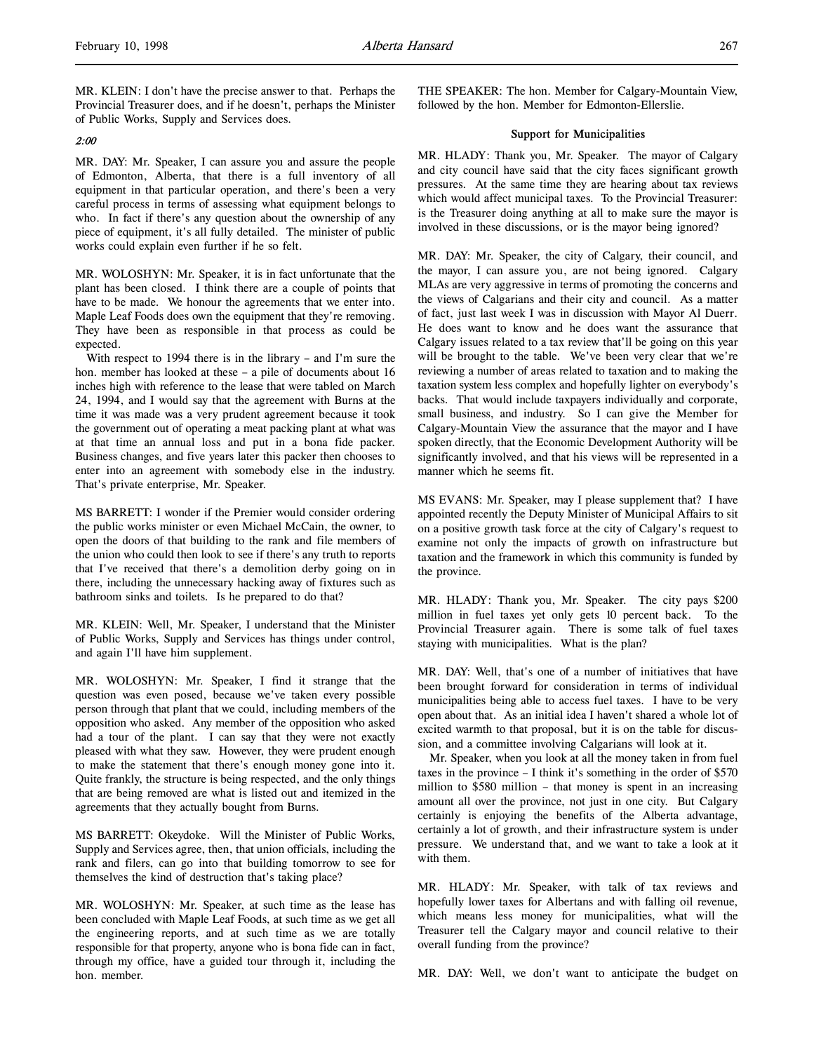MR. KLEIN: I don't have the precise answer to that. Perhaps the Provincial Treasurer does, and if he doesn't, perhaps the Minister of Public Works, Supply and Services does.

# 2:00

MR. DAY: Mr. Speaker, I can assure you and assure the people of Edmonton, Alberta, that there is a full inventory of all equipment in that particular operation, and there's been a very careful process in terms of assessing what equipment belongs to who. In fact if there's any question about the ownership of any piece of equipment, it's all fully detailed. The minister of public works could explain even further if he so felt.

MR. WOLOSHYN: Mr. Speaker, it is in fact unfortunate that the plant has been closed. I think there are a couple of points that have to be made. We honour the agreements that we enter into. Maple Leaf Foods does own the equipment that they're removing. They have been as responsible in that process as could be expected.

With respect to 1994 there is in the library – and I'm sure the hon. member has looked at these – a pile of documents about 16 inches high with reference to the lease that were tabled on March 24, 1994, and I would say that the agreement with Burns at the time it was made was a very prudent agreement because it took the government out of operating a meat packing plant at what was at that time an annual loss and put in a bona fide packer. Business changes, and five years later this packer then chooses to enter into an agreement with somebody else in the industry. That's private enterprise, Mr. Speaker.

MS BARRETT: I wonder if the Premier would consider ordering the public works minister or even Michael McCain, the owner, to open the doors of that building to the rank and file members of the union who could then look to see if there's any truth to reports that I've received that there's a demolition derby going on in there, including the unnecessary hacking away of fixtures such as bathroom sinks and toilets. Is he prepared to do that?

MR. KLEIN: Well, Mr. Speaker, I understand that the Minister of Public Works, Supply and Services has things under control, and again I'll have him supplement.

MR. WOLOSHYN: Mr. Speaker, I find it strange that the question was even posed, because we've taken every possible person through that plant that we could, including members of the opposition who asked. Any member of the opposition who asked had a tour of the plant. I can say that they were not exactly pleased with what they saw. However, they were prudent enough to make the statement that there's enough money gone into it. Quite frankly, the structure is being respected, and the only things that are being removed are what is listed out and itemized in the agreements that they actually bought from Burns.

MS BARRETT: Okeydoke. Will the Minister of Public Works, Supply and Services agree, then, that union officials, including the rank and filers, can go into that building tomorrow to see for themselves the kind of destruction that's taking place?

MR. WOLOSHYN: Mr. Speaker, at such time as the lease has been concluded with Maple Leaf Foods, at such time as we get all the engineering reports, and at such time as we are totally responsible for that property, anyone who is bona fide can in fact, through my office, have a guided tour through it, including the hon. member.

THE SPEAKER: The hon. Member for Calgary-Mountain View, followed by the hon. Member for Edmonton-Ellerslie.

### Support for Municipalities

MR. HLADY: Thank you, Mr. Speaker. The mayor of Calgary and city council have said that the city faces significant growth pressures. At the same time they are hearing about tax reviews which would affect municipal taxes. To the Provincial Treasurer: is the Treasurer doing anything at all to make sure the mayor is involved in these discussions, or is the mayor being ignored?

MR. DAY: Mr. Speaker, the city of Calgary, their council, and the mayor, I can assure you, are not being ignored. Calgary MLAs are very aggressive in terms of promoting the concerns and the views of Calgarians and their city and council. As a matter of fact, just last week I was in discussion with Mayor Al Duerr. He does want to know and he does want the assurance that Calgary issues related to a tax review that'll be going on this year will be brought to the table. We've been very clear that we're reviewing a number of areas related to taxation and to making the taxation system less complex and hopefully lighter on everybody's backs. That would include taxpayers individually and corporate, small business, and industry. So I can give the Member for Calgary-Mountain View the assurance that the mayor and I have spoken directly, that the Economic Development Authority will be significantly involved, and that his views will be represented in a manner which he seems fit.

MS EVANS: Mr. Speaker, may I please supplement that? I have appointed recently the Deputy Minister of Municipal Affairs to sit on a positive growth task force at the city of Calgary's request to examine not only the impacts of growth on infrastructure but taxation and the framework in which this community is funded by the province.

MR. HLADY: Thank you, Mr. Speaker. The city pays \$200 million in fuel taxes yet only gets 10 percent back. To the Provincial Treasurer again. There is some talk of fuel taxes staying with municipalities. What is the plan?

MR. DAY: Well, that's one of a number of initiatives that have been brought forward for consideration in terms of individual municipalities being able to access fuel taxes. I have to be very open about that. As an initial idea I haven't shared a whole lot of excited warmth to that proposal, but it is on the table for discussion, and a committee involving Calgarians will look at it.

Mr. Speaker, when you look at all the money taken in from fuel taxes in the province – I think it's something in the order of \$570 million to \$580 million – that money is spent in an increasing amount all over the province, not just in one city. But Calgary certainly is enjoying the benefits of the Alberta advantage, certainly a lot of growth, and their infrastructure system is under pressure. We understand that, and we want to take a look at it with them.

MR. HLADY: Mr. Speaker, with talk of tax reviews and hopefully lower taxes for Albertans and with falling oil revenue, which means less money for municipalities, what will the Treasurer tell the Calgary mayor and council relative to their overall funding from the province?

MR. DAY: Well, we don't want to anticipate the budget on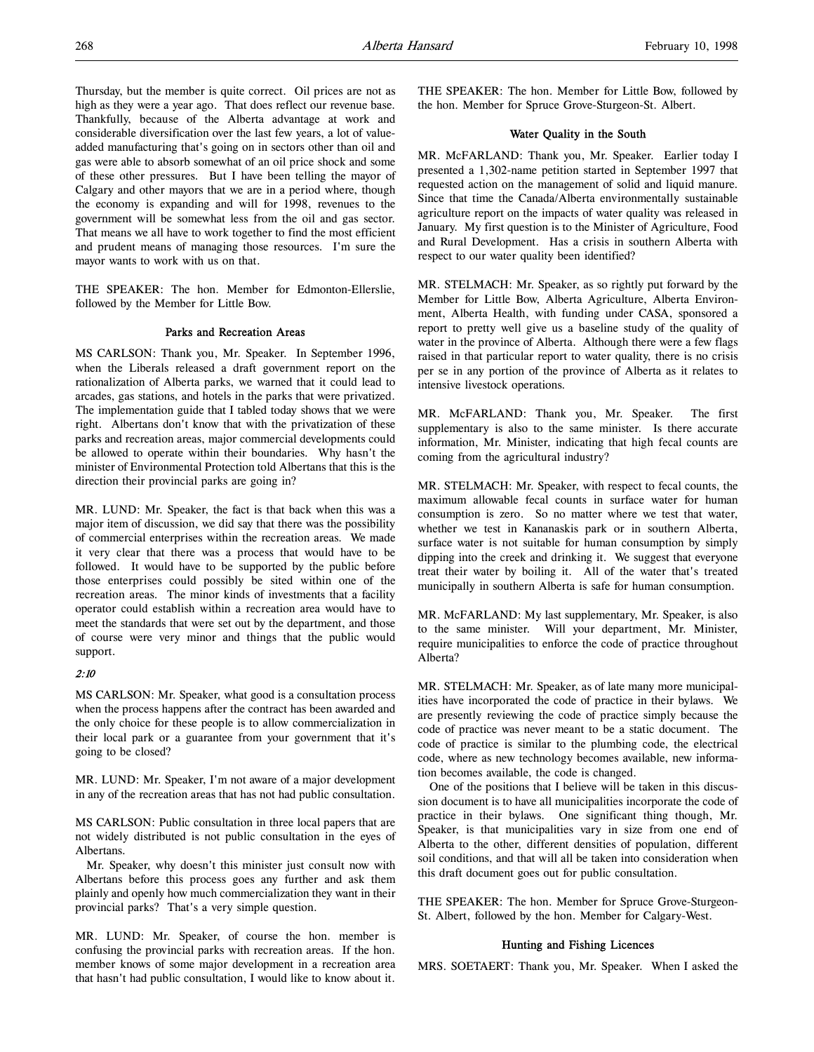Thursday, but the member is quite correct. Oil prices are not as high as they were a year ago. That does reflect our revenue base. Thankfully, because of the Alberta advantage at work and considerable diversification over the last few years, a lot of valueadded manufacturing that's going on in sectors other than oil and gas were able to absorb somewhat of an oil price shock and some of these other pressures. But I have been telling the mayor of Calgary and other mayors that we are in a period where, though the economy is expanding and will for 1998, revenues to the government will be somewhat less from the oil and gas sector. That means we all have to work together to find the most efficient and prudent means of managing those resources. I'm sure the mayor wants to work with us on that.

THE SPEAKER: The hon. Member for Edmonton-Ellerslie, followed by the Member for Little Bow.

### Parks and Recreation Areas

MS CARLSON: Thank you, Mr. Speaker. In September 1996, when the Liberals released a draft government report on the rationalization of Alberta parks, we warned that it could lead to arcades, gas stations, and hotels in the parks that were privatized. The implementation guide that I tabled today shows that we were right. Albertans don't know that with the privatization of these parks and recreation areas, major commercial developments could be allowed to operate within their boundaries. Why hasn't the minister of Environmental Protection told Albertans that this is the direction their provincial parks are going in?

MR. LUND: Mr. Speaker, the fact is that back when this was a major item of discussion, we did say that there was the possibility of commercial enterprises within the recreation areas. We made it very clear that there was a process that would have to be followed. It would have to be supported by the public before those enterprises could possibly be sited within one of the recreation areas. The minor kinds of investments that a facility operator could establish within a recreation area would have to meet the standards that were set out by the department, and those of course were very minor and things that the public would support.

# 2:10

MS CARLSON: Mr. Speaker, what good is a consultation process when the process happens after the contract has been awarded and the only choice for these people is to allow commercialization in their local park or a guarantee from your government that it's going to be closed?

MR. LUND: Mr. Speaker, I'm not aware of a major development in any of the recreation areas that has not had public consultation.

MS CARLSON: Public consultation in three local papers that are not widely distributed is not public consultation in the eyes of Albertans.

Mr. Speaker, why doesn't this minister just consult now with Albertans before this process goes any further and ask them plainly and openly how much commercialization they want in their provincial parks? That's a very simple question.

MR. LUND: Mr. Speaker, of course the hon. member is confusing the provincial parks with recreation areas. If the hon. member knows of some major development in a recreation area that hasn't had public consultation, I would like to know about it.

THE SPEAKER: The hon. Member for Little Bow, followed by the hon. Member for Spruce Grove-Sturgeon-St. Albert.

### Water Quality in the South

MR. McFARLAND: Thank you, Mr. Speaker. Earlier today I presented a 1,302-name petition started in September 1997 that requested action on the management of solid and liquid manure. Since that time the Canada/Alberta environmentally sustainable agriculture report on the impacts of water quality was released in January. My first question is to the Minister of Agriculture, Food and Rural Development. Has a crisis in southern Alberta with respect to our water quality been identified?

MR. STELMACH: Mr. Speaker, as so rightly put forward by the Member for Little Bow, Alberta Agriculture, Alberta Environment, Alberta Health, with funding under CASA, sponsored a report to pretty well give us a baseline study of the quality of water in the province of Alberta. Although there were a few flags raised in that particular report to water quality, there is no crisis per se in any portion of the province of Alberta as it relates to intensive livestock operations.

MR. McFARLAND: Thank you, Mr. Speaker. The first supplementary is also to the same minister. Is there accurate information, Mr. Minister, indicating that high fecal counts are coming from the agricultural industry?

MR. STELMACH: Mr. Speaker, with respect to fecal counts, the maximum allowable fecal counts in surface water for human consumption is zero. So no matter where we test that water, whether we test in Kananaskis park or in southern Alberta, surface water is not suitable for human consumption by simply dipping into the creek and drinking it. We suggest that everyone treat their water by boiling it. All of the water that's treated municipally in southern Alberta is safe for human consumption.

MR. McFARLAND: My last supplementary, Mr. Speaker, is also to the same minister. Will your department, Mr. Minister, require municipalities to enforce the code of practice throughout Alberta?

MR. STELMACH: Mr. Speaker, as of late many more municipalities have incorporated the code of practice in their bylaws. We are presently reviewing the code of practice simply because the code of practice was never meant to be a static document. The code of practice is similar to the plumbing code, the electrical code, where as new technology becomes available, new information becomes available, the code is changed.

One of the positions that I believe will be taken in this discussion document is to have all municipalities incorporate the code of practice in their bylaws. One significant thing though, Mr. Speaker, is that municipalities vary in size from one end of Alberta to the other, different densities of population, different soil conditions, and that will all be taken into consideration when this draft document goes out for public consultation.

THE SPEAKER: The hon. Member for Spruce Grove-Sturgeon-St. Albert, followed by the hon. Member for Calgary-West.

### Hunting and Fishing Licences

MRS. SOETAERT: Thank you, Mr. Speaker. When I asked the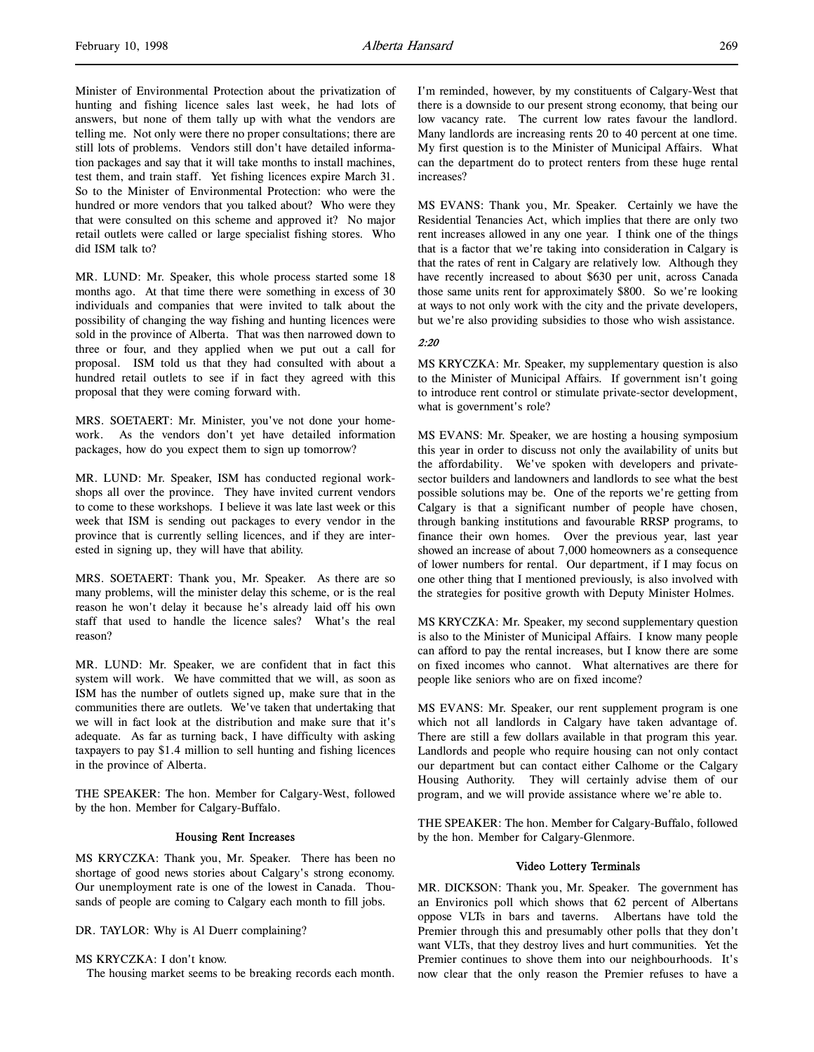Minister of Environmental Protection about the privatization of hunting and fishing licence sales last week, he had lots of answers, but none of them tally up with what the vendors are telling me. Not only were there no proper consultations; there are still lots of problems. Vendors still don't have detailed information packages and say that it will take months to install machines, test them, and train staff. Yet fishing licences expire March 31. So to the Minister of Environmental Protection: who were the hundred or more vendors that you talked about? Who were they that were consulted on this scheme and approved it? No major retail outlets were called or large specialist fishing stores. Who did ISM talk to?

MR. LUND: Mr. Speaker, this whole process started some 18 months ago. At that time there were something in excess of 30 individuals and companies that were invited to talk about the possibility of changing the way fishing and hunting licences were sold in the province of Alberta. That was then narrowed down to three or four, and they applied when we put out a call for proposal. ISM told us that they had consulted with about a hundred retail outlets to see if in fact they agreed with this proposal that they were coming forward with.

MRS. SOETAERT: Mr. Minister, you've not done your homework. As the vendors don't yet have detailed information packages, how do you expect them to sign up tomorrow?

MR. LUND: Mr. Speaker, ISM has conducted regional workshops all over the province. They have invited current vendors to come to these workshops. I believe it was late last week or this week that ISM is sending out packages to every vendor in the province that is currently selling licences, and if they are interested in signing up, they will have that ability.

MRS. SOETAERT: Thank you, Mr. Speaker. As there are so many problems, will the minister delay this scheme, or is the real reason he won't delay it because he's already laid off his own staff that used to handle the licence sales? What's the real reason?

MR. LUND: Mr. Speaker, we are confident that in fact this system will work. We have committed that we will, as soon as ISM has the number of outlets signed up, make sure that in the communities there are outlets. We've taken that undertaking that we will in fact look at the distribution and make sure that it's adequate. As far as turning back, I have difficulty with asking taxpayers to pay \$1.4 million to sell hunting and fishing licences in the province of Alberta.

THE SPEAKER: The hon. Member for Calgary-West, followed by the hon. Member for Calgary-Buffalo.

### Housing Rent Increases

MS KRYCZKA: Thank you, Mr. Speaker. There has been no shortage of good news stories about Calgary's strong economy. Our unemployment rate is one of the lowest in Canada. Thousands of people are coming to Calgary each month to fill jobs.

DR. TAYLOR: Why is Al Duerr complaining?

# MS KRYCZKA: I don't know.

The housing market seems to be breaking records each month.

I'm reminded, however, by my constituents of Calgary-West that there is a downside to our present strong economy, that being our low vacancy rate. The current low rates favour the landlord. Many landlords are increasing rents 20 to 40 percent at one time. My first question is to the Minister of Municipal Affairs. What can the department do to protect renters from these huge rental increases?

MS EVANS: Thank you, Mr. Speaker. Certainly we have the Residential Tenancies Act, which implies that there are only two rent increases allowed in any one year. I think one of the things that is a factor that we're taking into consideration in Calgary is that the rates of rent in Calgary are relatively low. Although they have recently increased to about \$630 per unit, across Canada those same units rent for approximately \$800. So we're looking at ways to not only work with the city and the private developers, but we're also providing subsidies to those who wish assistance.

## 2:20

MS KRYCZKA: Mr. Speaker, my supplementary question is also to the Minister of Municipal Affairs. If government isn't going to introduce rent control or stimulate private-sector development, what is government's role?

MS EVANS: Mr. Speaker, we are hosting a housing symposium this year in order to discuss not only the availability of units but the affordability. We've spoken with developers and privatesector builders and landowners and landlords to see what the best possible solutions may be. One of the reports we're getting from Calgary is that a significant number of people have chosen, through banking institutions and favourable RRSP programs, to finance their own homes. Over the previous year, last year showed an increase of about 7,000 homeowners as a consequence of lower numbers for rental. Our department, if I may focus on one other thing that I mentioned previously, is also involved with the strategies for positive growth with Deputy Minister Holmes.

MS KRYCZKA: Mr. Speaker, my second supplementary question is also to the Minister of Municipal Affairs. I know many people can afford to pay the rental increases, but I know there are some on fixed incomes who cannot. What alternatives are there for people like seniors who are on fixed income?

MS EVANS: Mr. Speaker, our rent supplement program is one which not all landlords in Calgary have taken advantage of. There are still a few dollars available in that program this year. Landlords and people who require housing can not only contact our department but can contact either Calhome or the Calgary Housing Authority. They will certainly advise them of our program, and we will provide assistance where we're able to.

THE SPEAKER: The hon. Member for Calgary-Buffalo, followed by the hon. Member for Calgary-Glenmore.

### Video Lottery Terminals

MR. DICKSON: Thank you, Mr. Speaker. The government has an Environics poll which shows that 62 percent of Albertans oppose VLTs in bars and taverns. Albertans have told the Premier through this and presumably other polls that they don't want VLTs, that they destroy lives and hurt communities. Yet the Premier continues to shove them into our neighbourhoods. It's now clear that the only reason the Premier refuses to have a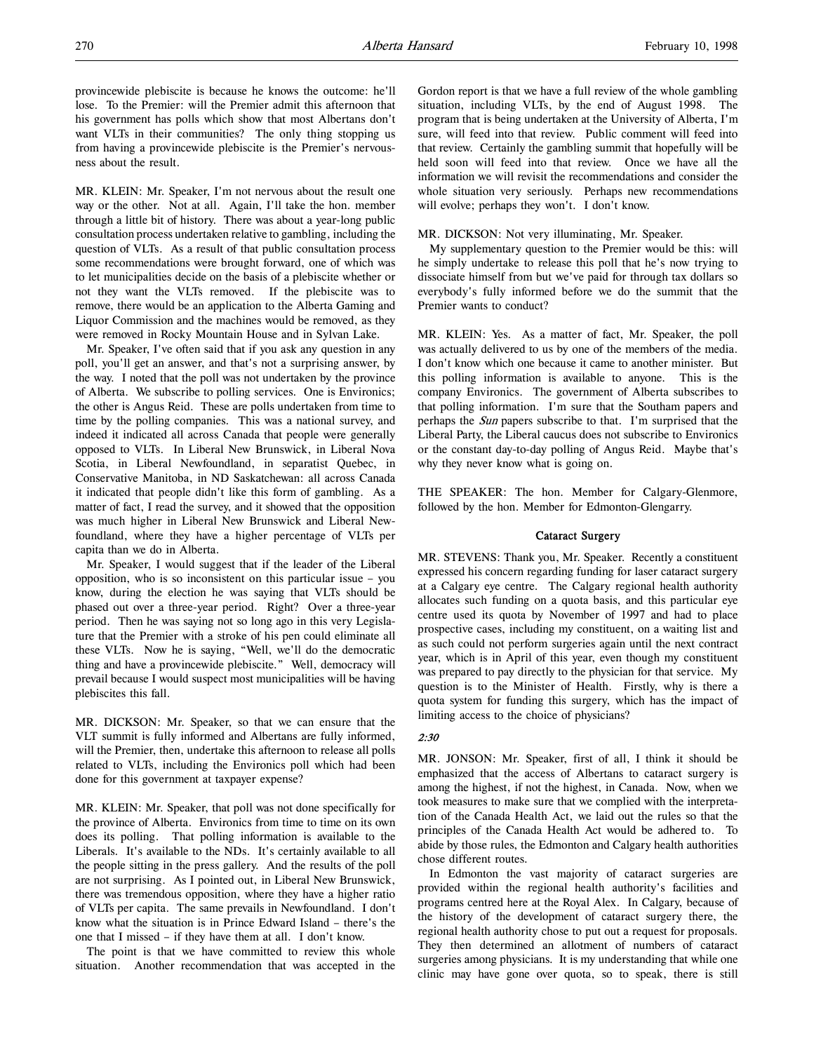provincewide plebiscite is because he knows the outcome: he'll lose. To the Premier: will the Premier admit this afternoon that his government has polls which show that most Albertans don't want VLTs in their communities? The only thing stopping us from having a provincewide plebiscite is the Premier's nervousness about the result.

MR. KLEIN: Mr. Speaker, I'm not nervous about the result one way or the other. Not at all. Again, I'll take the hon. member through a little bit of history. There was about a year-long public consultation process undertaken relative to gambling, including the question of VLTs. As a result of that public consultation process some recommendations were brought forward, one of which was to let municipalities decide on the basis of a plebiscite whether or not they want the VLTs removed. If the plebiscite was to remove, there would be an application to the Alberta Gaming and Liquor Commission and the machines would be removed, as they were removed in Rocky Mountain House and in Sylvan Lake.

Mr. Speaker, I've often said that if you ask any question in any poll, you'll get an answer, and that's not a surprising answer, by the way. I noted that the poll was not undertaken by the province of Alberta. We subscribe to polling services. One is Environics; the other is Angus Reid. These are polls undertaken from time to time by the polling companies. This was a national survey, and indeed it indicated all across Canada that people were generally opposed to VLTs. In Liberal New Brunswick, in Liberal Nova Scotia, in Liberal Newfoundland, in separatist Quebec, in Conservative Manitoba, in ND Saskatchewan: all across Canada it indicated that people didn't like this form of gambling. As a matter of fact, I read the survey, and it showed that the opposition was much higher in Liberal New Brunswick and Liberal Newfoundland, where they have a higher percentage of VLTs per capita than we do in Alberta.

Mr. Speaker, I would suggest that if the leader of the Liberal opposition, who is so inconsistent on this particular issue – you know, during the election he was saying that VLTs should be phased out over a three-year period. Right? Over a three-year period. Then he was saying not so long ago in this very Legislature that the Premier with a stroke of his pen could eliminate all these VLTs. Now he is saying, "Well, we'll do the democratic thing and have a provincewide plebiscite." Well, democracy will prevail because I would suspect most municipalities will be having plebiscites this fall.

MR. DICKSON: Mr. Speaker, so that we can ensure that the VLT summit is fully informed and Albertans are fully informed, will the Premier, then, undertake this afternoon to release all polls related to VLTs, including the Environics poll which had been done for this government at taxpayer expense?

MR. KLEIN: Mr. Speaker, that poll was not done specifically for the province of Alberta. Environics from time to time on its own does its polling. That polling information is available to the Liberals. It's available to the NDs. It's certainly available to all the people sitting in the press gallery. And the results of the poll are not surprising. As I pointed out, in Liberal New Brunswick, there was tremendous opposition, where they have a higher ratio of VLTs per capita. The same prevails in Newfoundland. I don't know what the situation is in Prince Edward Island – there's the one that I missed – if they have them at all. I don't know.

The point is that we have committed to review this whole situation. Another recommendation that was accepted in the

Gordon report is that we have a full review of the whole gambling situation, including VLTs, by the end of August 1998. The program that is being undertaken at the University of Alberta, I'm sure, will feed into that review. Public comment will feed into that review. Certainly the gambling summit that hopefully will be held soon will feed into that review. Once we have all the information we will revisit the recommendations and consider the whole situation very seriously. Perhaps new recommendations will evolve; perhaps they won't. I don't know.

#### MR. DICKSON: Not very illuminating, Mr. Speaker.

My supplementary question to the Premier would be this: will he simply undertake to release this poll that he's now trying to dissociate himself from but we've paid for through tax dollars so everybody's fully informed before we do the summit that the Premier wants to conduct?

MR. KLEIN: Yes. As a matter of fact, Mr. Speaker, the poll was actually delivered to us by one of the members of the media. I don't know which one because it came to another minister. But this polling information is available to anyone. This is the company Environics. The government of Alberta subscribes to that polling information. I'm sure that the Southam papers and perhaps the Sun papers subscribe to that. I'm surprised that the Liberal Party, the Liberal caucus does not subscribe to Environics or the constant day-to-day polling of Angus Reid. Maybe that's why they never know what is going on.

THE SPEAKER: The hon. Member for Calgary-Glenmore, followed by the hon. Member for Edmonton-Glengarry.

#### Cataract Surgery

MR. STEVENS: Thank you, Mr. Speaker. Recently a constituent expressed his concern regarding funding for laser cataract surgery at a Calgary eye centre. The Calgary regional health authority allocates such funding on a quota basis, and this particular eye centre used its quota by November of 1997 and had to place prospective cases, including my constituent, on a waiting list and as such could not perform surgeries again until the next contract year, which is in April of this year, even though my constituent was prepared to pay directly to the physician for that service. My question is to the Minister of Health. Firstly, why is there a quota system for funding this surgery, which has the impact of limiting access to the choice of physicians?

# 2:30

MR. JONSON: Mr. Speaker, first of all, I think it should be emphasized that the access of Albertans to cataract surgery is among the highest, if not the highest, in Canada. Now, when we took measures to make sure that we complied with the interpretation of the Canada Health Act, we laid out the rules so that the principles of the Canada Health Act would be adhered to. To abide by those rules, the Edmonton and Calgary health authorities chose different routes.

In Edmonton the vast majority of cataract surgeries are provided within the regional health authority's facilities and programs centred here at the Royal Alex. In Calgary, because of the history of the development of cataract surgery there, the regional health authority chose to put out a request for proposals. They then determined an allotment of numbers of cataract surgeries among physicians. It is my understanding that while one clinic may have gone over quota, so to speak, there is still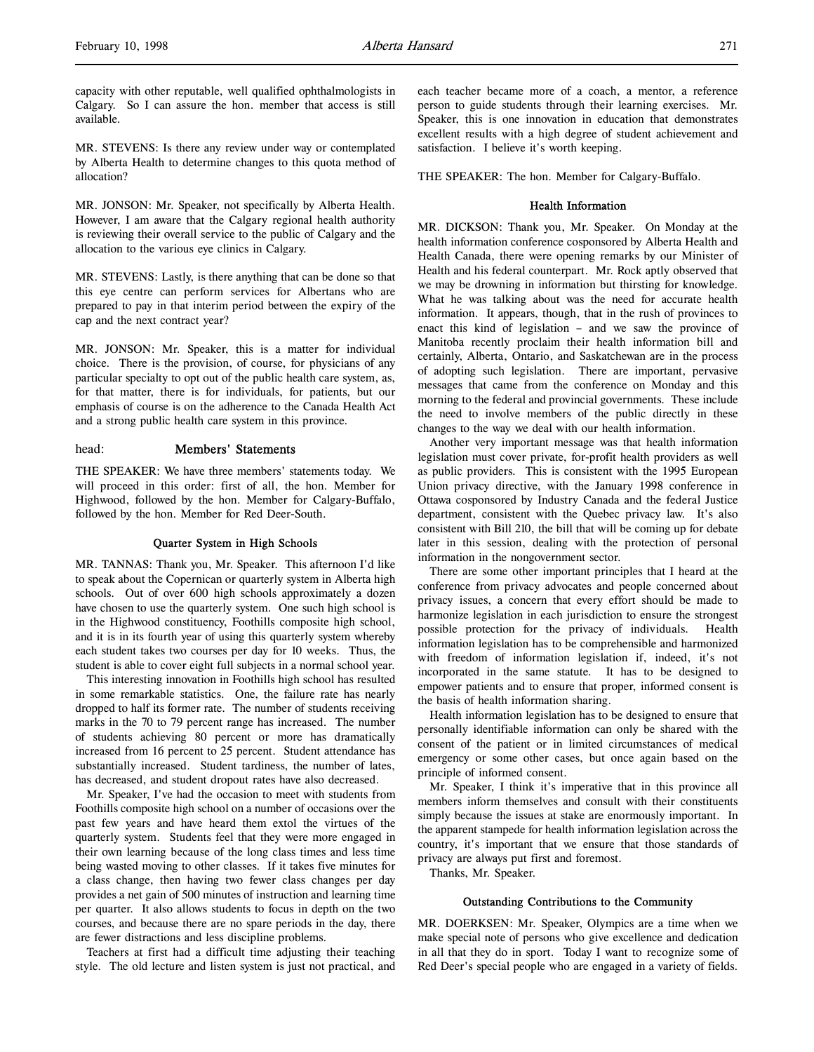capacity with other reputable, well qualified ophthalmologists in Calgary. So I can assure the hon. member that access is still available.

MR. STEVENS: Is there any review under way or contemplated by Alberta Health to determine changes to this quota method of allocation?

MR. JONSON: Mr. Speaker, not specifically by Alberta Health. However, I am aware that the Calgary regional health authority is reviewing their overall service to the public of Calgary and the allocation to the various eye clinics in Calgary.

MR. STEVENS: Lastly, is there anything that can be done so that this eye centre can perform services for Albertans who are prepared to pay in that interim period between the expiry of the cap and the next contract year?

MR. JONSON: Mr. Speaker, this is a matter for individual choice. There is the provision, of course, for physicians of any particular specialty to opt out of the public health care system, as, for that matter, there is for individuals, for patients, but our emphasis of course is on the adherence to the Canada Health Act and a strong public health care system in this province.

### head: Members' Statements

THE SPEAKER: We have three members' statements today. We will proceed in this order: first of all, the hon. Member for Highwood, followed by the hon. Member for Calgary-Buffalo, followed by the hon. Member for Red Deer-South.

### Quarter System in High Schools

MR. TANNAS: Thank you, Mr. Speaker. This afternoon I'd like to speak about the Copernican or quarterly system in Alberta high schools. Out of over 600 high schools approximately a dozen have chosen to use the quarterly system. One such high school is in the Highwood constituency, Foothills composite high school, and it is in its fourth year of using this quarterly system whereby each student takes two courses per day for 10 weeks. Thus, the student is able to cover eight full subjects in a normal school year.

This interesting innovation in Foothills high school has resulted in some remarkable statistics. One, the failure rate has nearly dropped to half its former rate. The number of students receiving marks in the 70 to 79 percent range has increased. The number of students achieving 80 percent or more has dramatically increased from 16 percent to 25 percent. Student attendance has substantially increased. Student tardiness, the number of lates, has decreased, and student dropout rates have also decreased.

Mr. Speaker, I've had the occasion to meet with students from Foothills composite high school on a number of occasions over the past few years and have heard them extol the virtues of the quarterly system. Students feel that they were more engaged in their own learning because of the long class times and less time being wasted moving to other classes. If it takes five minutes for a class change, then having two fewer class changes per day provides a net gain of 500 minutes of instruction and learning time per quarter. It also allows students to focus in depth on the two courses, and because there are no spare periods in the day, there are fewer distractions and less discipline problems.

Teachers at first had a difficult time adjusting their teaching style. The old lecture and listen system is just not practical, and each teacher became more of a coach, a mentor, a reference person to guide students through their learning exercises. Mr. Speaker, this is one innovation in education that demonstrates excellent results with a high degree of student achievement and satisfaction. I believe it's worth keeping.

THE SPEAKER: The hon. Member for Calgary-Buffalo.

### Health Information

MR. DICKSON: Thank you, Mr. Speaker. On Monday at the health information conference cosponsored by Alberta Health and Health Canada, there were opening remarks by our Minister of Health and his federal counterpart. Mr. Rock aptly observed that we may be drowning in information but thirsting for knowledge. What he was talking about was the need for accurate health information. It appears, though, that in the rush of provinces to enact this kind of legislation – and we saw the province of Manitoba recently proclaim their health information bill and certainly, Alberta, Ontario, and Saskatchewan are in the process of adopting such legislation. There are important, pervasive messages that came from the conference on Monday and this morning to the federal and provincial governments. These include the need to involve members of the public directly in these changes to the way we deal with our health information.

Another very important message was that health information legislation must cover private, for-profit health providers as well as public providers. This is consistent with the 1995 European Union privacy directive, with the January 1998 conference in Ottawa cosponsored by Industry Canada and the federal Justice department, consistent with the Quebec privacy law. It's also consistent with Bill 210, the bill that will be coming up for debate later in this session, dealing with the protection of personal information in the nongovernment sector.

There are some other important principles that I heard at the conference from privacy advocates and people concerned about privacy issues, a concern that every effort should be made to harmonize legislation in each jurisdiction to ensure the strongest possible protection for the privacy of individuals. Health information legislation has to be comprehensible and harmonized with freedom of information legislation if, indeed, it's not incorporated in the same statute. It has to be designed to empower patients and to ensure that proper, informed consent is the basis of health information sharing.

Health information legislation has to be designed to ensure that personally identifiable information can only be shared with the consent of the patient or in limited circumstances of medical emergency or some other cases, but once again based on the principle of informed consent.

Mr. Speaker, I think it's imperative that in this province all members inform themselves and consult with their constituents simply because the issues at stake are enormously important. In the apparent stampede for health information legislation across the country, it's important that we ensure that those standards of privacy are always put first and foremost.

Thanks, Mr. Speaker.

#### Outstanding Contributions to the Community

MR. DOERKSEN: Mr. Speaker, Olympics are a time when we make special note of persons who give excellence and dedication in all that they do in sport. Today I want to recognize some of Red Deer's special people who are engaged in a variety of fields.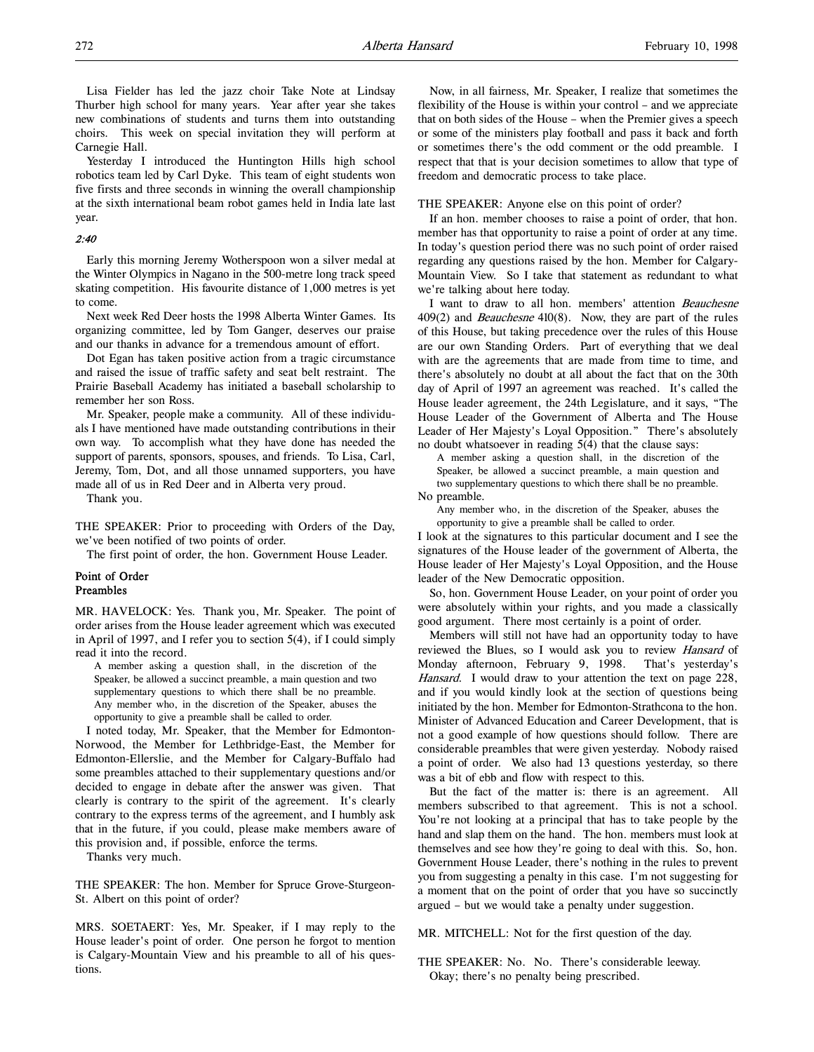Lisa Fielder has led the jazz choir Take Note at Lindsay Thurber high school for many years. Year after year she takes new combinations of students and turns them into outstanding choirs. This week on special invitation they will perform at Carnegie Hall.

Yesterday I introduced the Huntington Hills high school robotics team led by Carl Dyke. This team of eight students won five firsts and three seconds in winning the overall championship at the sixth international beam robot games held in India late last year.

# 2:40

Early this morning Jeremy Wotherspoon won a silver medal at the Winter Olympics in Nagano in the 500-metre long track speed skating competition. His favourite distance of 1,000 metres is yet to come.

Next week Red Deer hosts the 1998 Alberta Winter Games. Its organizing committee, led by Tom Ganger, deserves our praise and our thanks in advance for a tremendous amount of effort.

Dot Egan has taken positive action from a tragic circumstance and raised the issue of traffic safety and seat belt restraint. The Prairie Baseball Academy has initiated a baseball scholarship to remember her son Ross.

Mr. Speaker, people make a community. All of these individuals I have mentioned have made outstanding contributions in their own way. To accomplish what they have done has needed the support of parents, sponsors, spouses, and friends. To Lisa, Carl, Jeremy, Tom, Dot, and all those unnamed supporters, you have made all of us in Red Deer and in Alberta very proud.

Thank you.

THE SPEAKER: Prior to proceeding with Orders of the Day, we've been notified of two points of order.

The first point of order, the hon. Government House Leader.

## Point of Order Preambles

MR. HAVELOCK: Yes. Thank you, Mr. Speaker. The point of order arises from the House leader agreement which was executed in April of 1997, and I refer you to section 5(4), if I could simply read it into the record.

A member asking a question shall, in the discretion of the Speaker, be allowed a succinct preamble, a main question and two supplementary questions to which there shall be no preamble. Any member who, in the discretion of the Speaker, abuses the opportunity to give a preamble shall be called to order.

I noted today, Mr. Speaker, that the Member for Edmonton-Norwood, the Member for Lethbridge-East, the Member for Edmonton-Ellerslie, and the Member for Calgary-Buffalo had some preambles attached to their supplementary questions and/or decided to engage in debate after the answer was given. That clearly is contrary to the spirit of the agreement. It's clearly contrary to the express terms of the agreement, and I humbly ask that in the future, if you could, please make members aware of this provision and, if possible, enforce the terms.

Thanks very much.

THE SPEAKER: The hon. Member for Spruce Grove-Sturgeon-St. Albert on this point of order?

MRS. SOETAERT: Yes, Mr. Speaker, if I may reply to the House leader's point of order. One person he forgot to mention is Calgary-Mountain View and his preamble to all of his questions.

Now, in all fairness, Mr. Speaker, I realize that sometimes the flexibility of the House is within your control – and we appreciate that on both sides of the House – when the Premier gives a speech or some of the ministers play football and pass it back and forth or sometimes there's the odd comment or the odd preamble. I respect that that is your decision sometimes to allow that type of freedom and democratic process to take place.

#### THE SPEAKER: Anyone else on this point of order?

If an hon. member chooses to raise a point of order, that hon. member has that opportunity to raise a point of order at any time. In today's question period there was no such point of order raised regarding any questions raised by the hon. Member for Calgary-Mountain View. So I take that statement as redundant to what we're talking about here today.

I want to draw to all hon. members' attention Beauchesne 409(2) and *Beauchesne* 410(8). Now, they are part of the rules of this House, but taking precedence over the rules of this House are our own Standing Orders. Part of everything that we deal with are the agreements that are made from time to time, and there's absolutely no doubt at all about the fact that on the 30th day of April of 1997 an agreement was reached. It's called the House leader agreement, the 24th Legislature, and it says, "The House Leader of the Government of Alberta and The House Leader of Her Majesty's Loyal Opposition." There's absolutely no doubt whatsoever in reading 5(4) that the clause says:

A member asking a question shall, in the discretion of the Speaker, be allowed a succinct preamble, a main question and two supplementary questions to which there shall be no preamble. No preamble.

Any member who, in the discretion of the Speaker, abuses the opportunity to give a preamble shall be called to order.

I look at the signatures to this particular document and I see the signatures of the House leader of the government of Alberta, the House leader of Her Majesty's Loyal Opposition, and the House leader of the New Democratic opposition.

So, hon. Government House Leader, on your point of order you were absolutely within your rights, and you made a classically good argument. There most certainly is a point of order.

Members will still not have had an opportunity today to have reviewed the Blues, so I would ask you to review Hansard of Monday afternoon, February 9, 1998. That's yesterday's Hansard. I would draw to your attention the text on page 228, and if you would kindly look at the section of questions being initiated by the hon. Member for Edmonton-Strathcona to the hon. Minister of Advanced Education and Career Development, that is not a good example of how questions should follow. There are considerable preambles that were given yesterday. Nobody raised a point of order. We also had 13 questions yesterday, so there was a bit of ebb and flow with respect to this.

But the fact of the matter is: there is an agreement. All members subscribed to that agreement. This is not a school. You're not looking at a principal that has to take people by the hand and slap them on the hand. The hon. members must look at themselves and see how they're going to deal with this. So, hon. Government House Leader, there's nothing in the rules to prevent you from suggesting a penalty in this case. I'm not suggesting for a moment that on the point of order that you have so succinctly argued – but we would take a penalty under suggestion.

MR. MITCHELL: Not for the first question of the day.

THE SPEAKER: No. No. There's considerable leeway. Okay; there's no penalty being prescribed.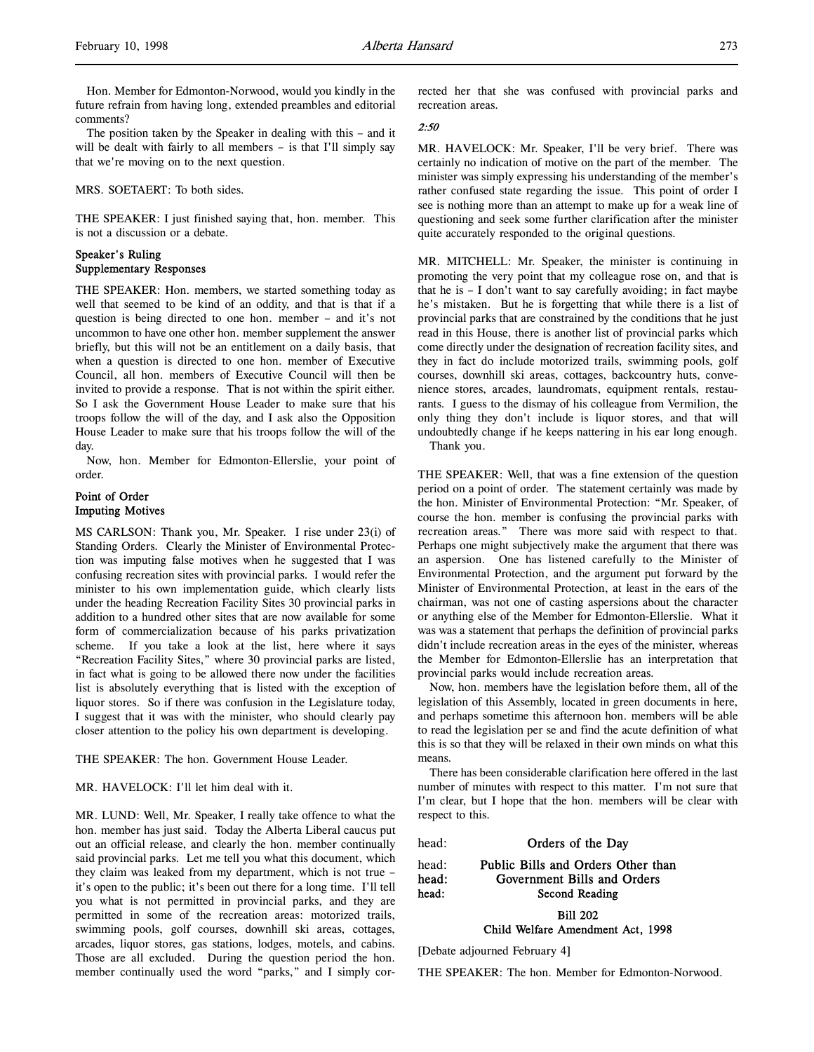Hon. Member for Edmonton-Norwood, would you kindly in the future refrain from having long, extended preambles and editorial comments?

The position taken by the Speaker in dealing with this – and it will be dealt with fairly to all members – is that I'll simply say that we're moving on to the next question.

MRS. SOETAERT: To both sides.

THE SPEAKER: I just finished saying that, hon. member. This is not a discussion or a debate.

# Speaker's Ruling Supplementary Responses

THE SPEAKER: Hon. members, we started something today as well that seemed to be kind of an oddity, and that is that if a question is being directed to one hon. member – and it's not uncommon to have one other hon. member supplement the answer briefly, but this will not be an entitlement on a daily basis, that when a question is directed to one hon. member of Executive Council, all hon. members of Executive Council will then be invited to provide a response. That is not within the spirit either. So I ask the Government House Leader to make sure that his troops follow the will of the day, and I ask also the Opposition House Leader to make sure that his troops follow the will of the day.

Now, hon. Member for Edmonton-Ellerslie, your point of order.

# Point of Order Imputing Motives

MS CARLSON: Thank you, Mr. Speaker. I rise under 23(i) of Standing Orders. Clearly the Minister of Environmental Protection was imputing false motives when he suggested that I was confusing recreation sites with provincial parks. I would refer the minister to his own implementation guide, which clearly lists under the heading Recreation Facility Sites 30 provincial parks in addition to a hundred other sites that are now available for some form of commercialization because of his parks privatization scheme. If you take a look at the list, here where it says "Recreation Facility Sites," where 30 provincial parks are listed, in fact what is going to be allowed there now under the facilities list is absolutely everything that is listed with the exception of liquor stores. So if there was confusion in the Legislature today, I suggest that it was with the minister, who should clearly pay closer attention to the policy his own department is developing.

THE SPEAKER: The hon. Government House Leader.

MR. HAVELOCK: I'll let him deal with it.

MR. LUND: Well, Mr. Speaker, I really take offence to what the hon. member has just said. Today the Alberta Liberal caucus put out an official release, and clearly the hon. member continually said provincial parks. Let me tell you what this document, which they claim was leaked from my department, which is not true – it's open to the public; it's been out there for a long time. I'll tell you what is not permitted in provincial parks, and they are permitted in some of the recreation areas: motorized trails, swimming pools, golf courses, downhill ski areas, cottages, arcades, liquor stores, gas stations, lodges, motels, and cabins. Those are all excluded. During the question period the hon. member continually used the word "parks," and I simply corrected her that she was confused with provincial parks and recreation areas.

## 2:50

MR. HAVELOCK: Mr. Speaker, I'll be very brief. There was certainly no indication of motive on the part of the member. The minister was simply expressing his understanding of the member's rather confused state regarding the issue. This point of order I see is nothing more than an attempt to make up for a weak line of questioning and seek some further clarification after the minister quite accurately responded to the original questions.

MR. MITCHELL: Mr. Speaker, the minister is continuing in promoting the very point that my colleague rose on, and that is that he is  $- I$  don't want to say carefully avoiding; in fact maybe he's mistaken. But he is forgetting that while there is a list of provincial parks that are constrained by the conditions that he just read in this House, there is another list of provincial parks which come directly under the designation of recreation facility sites, and they in fact do include motorized trails, swimming pools, golf courses, downhill ski areas, cottages, backcountry huts, convenience stores, arcades, laundromats, equipment rentals, restaurants. I guess to the dismay of his colleague from Vermilion, the only thing they don't include is liquor stores, and that will undoubtedly change if he keeps nattering in his ear long enough. Thank you.

THE SPEAKER: Well, that was a fine extension of the question period on a point of order. The statement certainly was made by the hon. Minister of Environmental Protection: "Mr. Speaker, of course the hon. member is confusing the provincial parks with recreation areas." There was more said with respect to that. Perhaps one might subjectively make the argument that there was an aspersion. One has listened carefully to the Minister of Environmental Protection, and the argument put forward by the Minister of Environmental Protection, at least in the ears of the chairman, was not one of casting aspersions about the character or anything else of the Member for Edmonton-Ellerslie. What it was was a statement that perhaps the definition of provincial parks didn't include recreation areas in the eyes of the minister, whereas the Member for Edmonton-Ellerslie has an interpretation that provincial parks would include recreation areas.

Now, hon. members have the legislation before them, all of the legislation of this Assembly, located in green documents in here, and perhaps sometime this afternoon hon. members will be able to read the legislation per se and find the acute definition of what this is so that they will be relaxed in their own minds on what this means.

There has been considerable clarification here offered in the last number of minutes with respect to this matter. I'm not sure that I'm clear, but I hope that the hon. members will be clear with respect to this.

head: **Orders of the Day** 

head: Public Bills and Orders Other than head: Government Bills and Orders head: Second Reading

Bill 202

Child Welfare Amendment Act, 1998

[Debate adjourned February 4]

THE SPEAKER: The hon. Member for Edmonton-Norwood.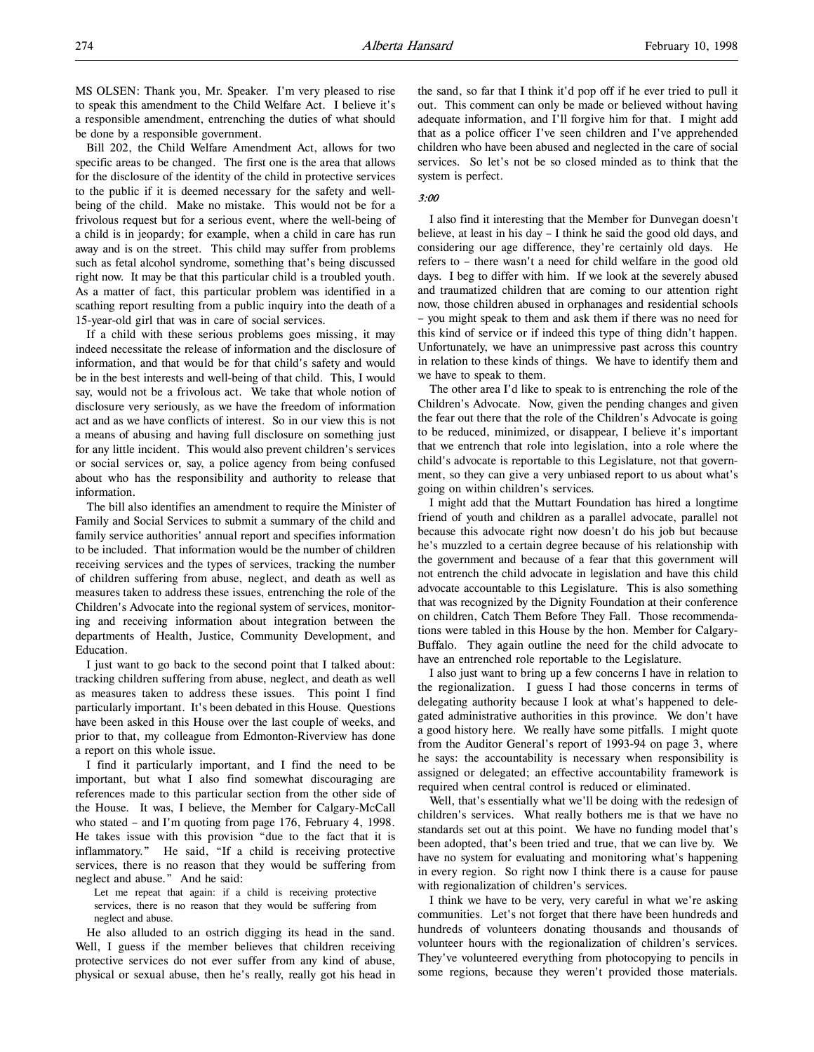MS OLSEN: Thank you, Mr. Speaker. I'm very pleased to rise to speak this amendment to the Child Welfare Act. I believe it's a responsible amendment, entrenching the duties of what should be done by a responsible government.

Bill 202, the Child Welfare Amendment Act, allows for two specific areas to be changed. The first one is the area that allows for the disclosure of the identity of the child in protective services to the public if it is deemed necessary for the safety and wellbeing of the child. Make no mistake. This would not be for a frivolous request but for a serious event, where the well-being of a child is in jeopardy; for example, when a child in care has run away and is on the street. This child may suffer from problems such as fetal alcohol syndrome, something that's being discussed right now. It may be that this particular child is a troubled youth. As a matter of fact, this particular problem was identified in a scathing report resulting from a public inquiry into the death of a 15-year-old girl that was in care of social services.

If a child with these serious problems goes missing, it may indeed necessitate the release of information and the disclosure of information, and that would be for that child's safety and would be in the best interests and well-being of that child. This, I would say, would not be a frivolous act. We take that whole notion of disclosure very seriously, as we have the freedom of information act and as we have conflicts of interest. So in our view this is not a means of abusing and having full disclosure on something just for any little incident. This would also prevent children's services or social services or, say, a police agency from being confused about who has the responsibility and authority to release that information.

The bill also identifies an amendment to require the Minister of Family and Social Services to submit a summary of the child and family service authorities' annual report and specifies information to be included. That information would be the number of children receiving services and the types of services, tracking the number of children suffering from abuse, neglect, and death as well as measures taken to address these issues, entrenching the role of the Children's Advocate into the regional system of services, monitoring and receiving information about integration between the departments of Health, Justice, Community Development, and Education.

I just want to go back to the second point that I talked about: tracking children suffering from abuse, neglect, and death as well as measures taken to address these issues. This point I find particularly important. It's been debated in this House. Questions have been asked in this House over the last couple of weeks, and prior to that, my colleague from Edmonton-Riverview has done a report on this whole issue.

I find it particularly important, and I find the need to be important, but what I also find somewhat discouraging are references made to this particular section from the other side of the House. It was, I believe, the Member for Calgary-McCall who stated – and I'm quoting from page 176, February 4, 1998. He takes issue with this provision "due to the fact that it is inflammatory." He said, "If a child is receiving protective services, there is no reason that they would be suffering from neglect and abuse." And he said:

Let me repeat that again: if a child is receiving protective services, there is no reason that they would be suffering from neglect and abuse.

He also alluded to an ostrich digging its head in the sand. Well, I guess if the member believes that children receiving protective services do not ever suffer from any kind of abuse, physical or sexual abuse, then he's really, really got his head in the sand, so far that I think it'd pop off if he ever tried to pull it out. This comment can only be made or believed without having adequate information, and I'll forgive him for that. I might add that as a police officer I've seen children and I've apprehended children who have been abused and neglected in the care of social services. So let's not be so closed minded as to think that the system is perfect.

# 3:00

I also find it interesting that the Member for Dunvegan doesn't believe, at least in his day – I think he said the good old days, and considering our age difference, they're certainly old days. He refers to – there wasn't a need for child welfare in the good old days. I beg to differ with him. If we look at the severely abused and traumatized children that are coming to our attention right now, those children abused in orphanages and residential schools – you might speak to them and ask them if there was no need for this kind of service or if indeed this type of thing didn't happen. Unfortunately, we have an unimpressive past across this country in relation to these kinds of things. We have to identify them and we have to speak to them.

The other area I'd like to speak to is entrenching the role of the Children's Advocate. Now, given the pending changes and given the fear out there that the role of the Children's Advocate is going to be reduced, minimized, or disappear, I believe it's important that we entrench that role into legislation, into a role where the child's advocate is reportable to this Legislature, not that government, so they can give a very unbiased report to us about what's going on within children's services.

I might add that the Muttart Foundation has hired a longtime friend of youth and children as a parallel advocate, parallel not because this advocate right now doesn't do his job but because he's muzzled to a certain degree because of his relationship with the government and because of a fear that this government will not entrench the child advocate in legislation and have this child advocate accountable to this Legislature. This is also something that was recognized by the Dignity Foundation at their conference on children, Catch Them Before They Fall. Those recommendations were tabled in this House by the hon. Member for Calgary-Buffalo. They again outline the need for the child advocate to have an entrenched role reportable to the Legislature.

I also just want to bring up a few concerns I have in relation to the regionalization. I guess I had those concerns in terms of delegating authority because I look at what's happened to delegated administrative authorities in this province. We don't have a good history here. We really have some pitfalls. I might quote from the Auditor General's report of 1993-94 on page 3, where he says: the accountability is necessary when responsibility is assigned or delegated; an effective accountability framework is required when central control is reduced or eliminated.

Well, that's essentially what we'll be doing with the redesign of children's services. What really bothers me is that we have no standards set out at this point. We have no funding model that's been adopted, that's been tried and true, that we can live by. We have no system for evaluating and monitoring what's happening in every region. So right now I think there is a cause for pause with regionalization of children's services.

I think we have to be very, very careful in what we're asking communities. Let's not forget that there have been hundreds and hundreds of volunteers donating thousands and thousands of volunteer hours with the regionalization of children's services. They've volunteered everything from photocopying to pencils in some regions, because they weren't provided those materials.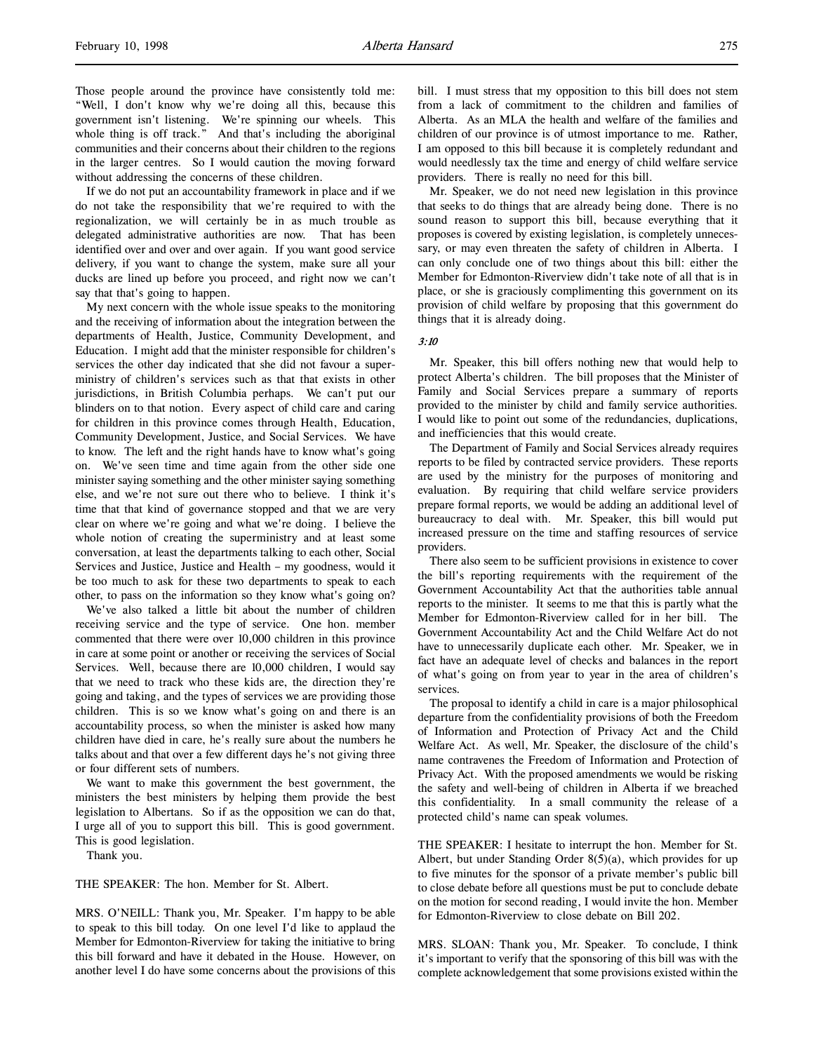Those people around the province have consistently told me: "Well, I don't know why we're doing all this, because this government isn't listening. We're spinning our wheels. This whole thing is off track." And that's including the aboriginal communities and their concerns about their children to the regions in the larger centres. So I would caution the moving forward without addressing the concerns of these children.

If we do not put an accountability framework in place and if we do not take the responsibility that we're required to with the regionalization, we will certainly be in as much trouble as delegated administrative authorities are now. That has been identified over and over and over again. If you want good service delivery, if you want to change the system, make sure all your ducks are lined up before you proceed, and right now we can't say that that's going to happen.

My next concern with the whole issue speaks to the monitoring and the receiving of information about the integration between the departments of Health, Justice, Community Development, and Education. I might add that the minister responsible for children's services the other day indicated that she did not favour a superministry of children's services such as that that exists in other jurisdictions, in British Columbia perhaps. We can't put our blinders on to that notion. Every aspect of child care and caring for children in this province comes through Health, Education, Community Development, Justice, and Social Services. We have to know. The left and the right hands have to know what's going on. We've seen time and time again from the other side one minister saying something and the other minister saying something else, and we're not sure out there who to believe. I think it's time that that kind of governance stopped and that we are very clear on where we're going and what we're doing. I believe the whole notion of creating the superministry and at least some conversation, at least the departments talking to each other, Social Services and Justice, Justice and Health – my goodness, would it be too much to ask for these two departments to speak to each other, to pass on the information so they know what's going on?

We've also talked a little bit about the number of children receiving service and the type of service. One hon. member commented that there were over 10,000 children in this province in care at some point or another or receiving the services of Social Services. Well, because there are 10,000 children, I would say that we need to track who these kids are, the direction they're going and taking, and the types of services we are providing those children. This is so we know what's going on and there is an accountability process, so when the minister is asked how many children have died in care, he's really sure about the numbers he talks about and that over a few different days he's not giving three or four different sets of numbers.

We want to make this government the best government, the ministers the best ministers by helping them provide the best legislation to Albertans. So if as the opposition we can do that, I urge all of you to support this bill. This is good government. This is good legislation.

Thank you.

THE SPEAKER: The hon. Member for St. Albert.

MRS. O'NEILL: Thank you, Mr. Speaker. I'm happy to be able to speak to this bill today. On one level I'd like to applaud the Member for Edmonton-Riverview for taking the initiative to bring this bill forward and have it debated in the House. However, on another level I do have some concerns about the provisions of this

bill. I must stress that my opposition to this bill does not stem from a lack of commitment to the children and families of Alberta. As an MLA the health and welfare of the families and children of our province is of utmost importance to me. Rather, I am opposed to this bill because it is completely redundant and would needlessly tax the time and energy of child welfare service providers. There is really no need for this bill.

Mr. Speaker, we do not need new legislation in this province that seeks to do things that are already being done. There is no sound reason to support this bill, because everything that it proposes is covered by existing legislation, is completely unnecessary, or may even threaten the safety of children in Alberta. I can only conclude one of two things about this bill: either the Member for Edmonton-Riverview didn't take note of all that is in place, or she is graciously complimenting this government on its provision of child welfare by proposing that this government do things that it is already doing.

### 3:10

Mr. Speaker, this bill offers nothing new that would help to protect Alberta's children. The bill proposes that the Minister of Family and Social Services prepare a summary of reports provided to the minister by child and family service authorities. I would like to point out some of the redundancies, duplications, and inefficiencies that this would create.

The Department of Family and Social Services already requires reports to be filed by contracted service providers. These reports are used by the ministry for the purposes of monitoring and evaluation. By requiring that child welfare service providers prepare formal reports, we would be adding an additional level of bureaucracy to deal with. Mr. Speaker, this bill would put increased pressure on the time and staffing resources of service providers.

There also seem to be sufficient provisions in existence to cover the bill's reporting requirements with the requirement of the Government Accountability Act that the authorities table annual reports to the minister. It seems to me that this is partly what the Member for Edmonton-Riverview called for in her bill. The Government Accountability Act and the Child Welfare Act do not have to unnecessarily duplicate each other. Mr. Speaker, we in fact have an adequate level of checks and balances in the report of what's going on from year to year in the area of children's services.

The proposal to identify a child in care is a major philosophical departure from the confidentiality provisions of both the Freedom of Information and Protection of Privacy Act and the Child Welfare Act. As well, Mr. Speaker, the disclosure of the child's name contravenes the Freedom of Information and Protection of Privacy Act. With the proposed amendments we would be risking the safety and well-being of children in Alberta if we breached this confidentiality. In a small community the release of a protected child's name can speak volumes.

THE SPEAKER: I hesitate to interrupt the hon. Member for St. Albert, but under Standing Order  $8(5)(a)$ , which provides for up to five minutes for the sponsor of a private member's public bill to close debate before all questions must be put to conclude debate on the motion for second reading, I would invite the hon. Member for Edmonton-Riverview to close debate on Bill 202.

MRS. SLOAN: Thank you, Mr. Speaker. To conclude, I think it's important to verify that the sponsoring of this bill was with the complete acknowledgement that some provisions existed within the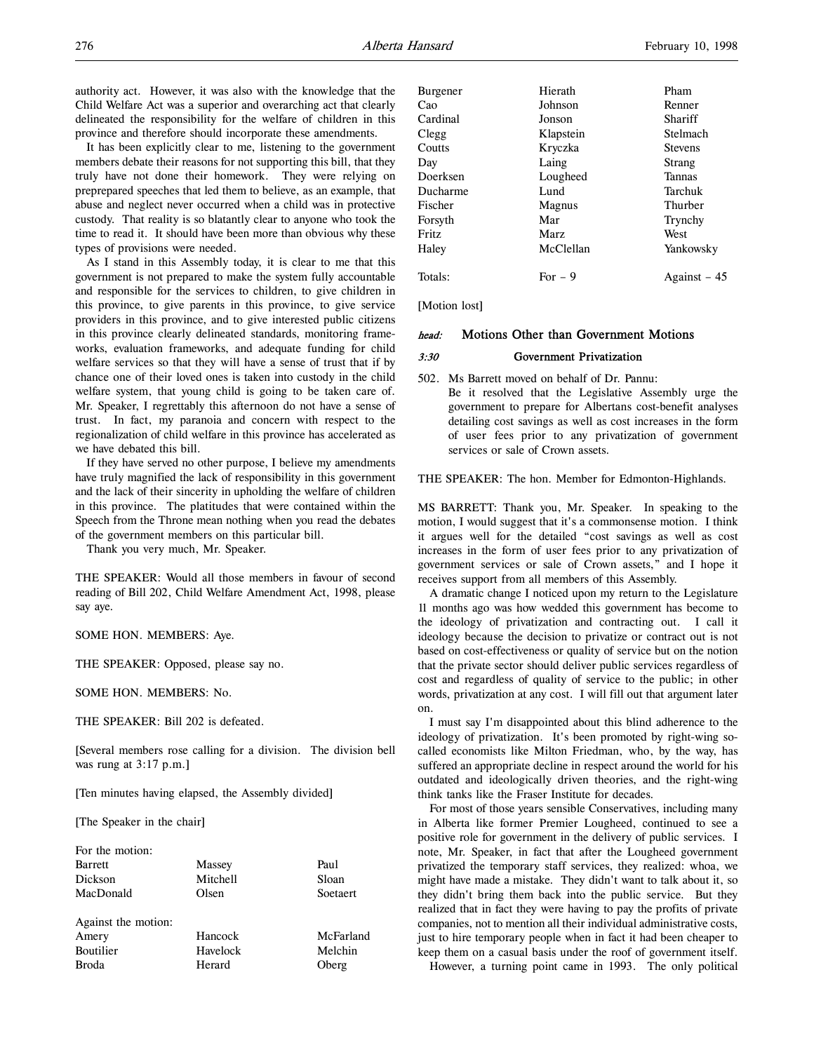authority act. However, it was also with the knowledge that the Child Welfare Act was a superior and overarching act that clearly delineated the responsibility for the welfare of children in this province and therefore should incorporate these amendments.

It has been explicitly clear to me, listening to the government members debate their reasons for not supporting this bill, that they truly have not done their homework. They were relying on preprepared speeches that led them to believe, as an example, that abuse and neglect never occurred when a child was in protective custody. That reality is so blatantly clear to anyone who took the time to read it. It should have been more than obvious why these types of provisions were needed.

As I stand in this Assembly today, it is clear to me that this government is not prepared to make the system fully accountable and responsible for the services to children, to give children in this province, to give parents in this province, to give service providers in this province, and to give interested public citizens in this province clearly delineated standards, monitoring frameworks, evaluation frameworks, and adequate funding for child welfare services so that they will have a sense of trust that if by chance one of their loved ones is taken into custody in the child welfare system, that young child is going to be taken care of. Mr. Speaker, I regrettably this afternoon do not have a sense of trust. In fact, my paranoia and concern with respect to the regionalization of child welfare in this province has accelerated as we have debated this bill.

If they have served no other purpose, I believe my amendments have truly magnified the lack of responsibility in this government and the lack of their sincerity in upholding the welfare of children in this province. The platitudes that were contained within the Speech from the Throne mean nothing when you read the debates of the government members on this particular bill.

Thank you very much, Mr. Speaker.

THE SPEAKER: Would all those members in favour of second reading of Bill 202, Child Welfare Amendment Act, 1998, please say aye.

### SOME HON. MEMBERS: Aye.

THE SPEAKER: Opposed, please say no.

SOME HON. MEMBERS: No.

THE SPEAKER: Bill 202 is defeated.

[Several members rose calling for a division. The division bell was rung at 3:17 p.m.]

[Ten minutes having elapsed, the Assembly divided]

[The Speaker in the chair]

| For the motion:     |          |           |
|---------------------|----------|-----------|
| <b>Barrett</b>      | Massey   | Paul      |
| Dickson             | Mitchell | Sloan     |
| MacDonald           | Olsen    | Soetaert  |
|                     |          |           |
| Against the motion: |          |           |
| Amery               | Hancock  | McFarland |
| Boutilier           | Havelock | Melchin   |
| <b>Broda</b>        | Herard   | Oberg     |
|                     |          |           |

| Burgener | Hierath   | Pham           |
|----------|-----------|----------------|
| Cao      | Johnson   | Renner         |
| Cardinal | Jonson    | Shariff        |
| Clegg    | Klapstein | Stelmach       |
| Coutts   | Kryczka   | <b>Stevens</b> |
| Day      | Laing     | Strang         |
| Doerksen | Lougheed  | <b>Tannas</b>  |
| Ducharme | Lund      | Tarchuk        |
| Fischer  | Magnus    | Thurber        |
| Forsyth  | Mar       | Trynchy        |
| Fritz    | Marz      | West           |
| Haley    | McClellan | Yankowsky      |
| Totals:  | $For - 9$ | Against $-45$  |

[Motion lost]

# head: Motions Other than Government Motions

#### 3:30 Government Privatization

502. Ms Barrett moved on behalf of Dr. Pannu: Be it resolved that the Legislative Assembly urge the government to prepare for Albertans cost-benefit analyses detailing cost savings as well as cost increases in the form of user fees prior to any privatization of government services or sale of Crown assets.

THE SPEAKER: The hon. Member for Edmonton-Highlands.

MS BARRETT: Thank you, Mr. Speaker. In speaking to the motion, I would suggest that it's a commonsense motion. I think it argues well for the detailed "cost savings as well as cost increases in the form of user fees prior to any privatization of government services or sale of Crown assets," and I hope it receives support from all members of this Assembly.

A dramatic change I noticed upon my return to the Legislature 11 months ago was how wedded this government has become to the ideology of privatization and contracting out. I call it ideology because the decision to privatize or contract out is not based on cost-effectiveness or quality of service but on the notion that the private sector should deliver public services regardless of cost and regardless of quality of service to the public; in other words, privatization at any cost. I will fill out that argument later on.

I must say I'm disappointed about this blind adherence to the ideology of privatization. It's been promoted by right-wing socalled economists like Milton Friedman, who, by the way, has suffered an appropriate decline in respect around the world for his outdated and ideologically driven theories, and the right-wing think tanks like the Fraser Institute for decades.

For most of those years sensible Conservatives, including many in Alberta like former Premier Lougheed, continued to see a positive role for government in the delivery of public services. I note, Mr. Speaker, in fact that after the Lougheed government privatized the temporary staff services, they realized: whoa, we might have made a mistake. They didn't want to talk about it, so they didn't bring them back into the public service. But they realized that in fact they were having to pay the profits of private companies, not to mention all their individual administrative costs, just to hire temporary people when in fact it had been cheaper to keep them on a casual basis under the roof of government itself. However, a turning point came in 1993. The only political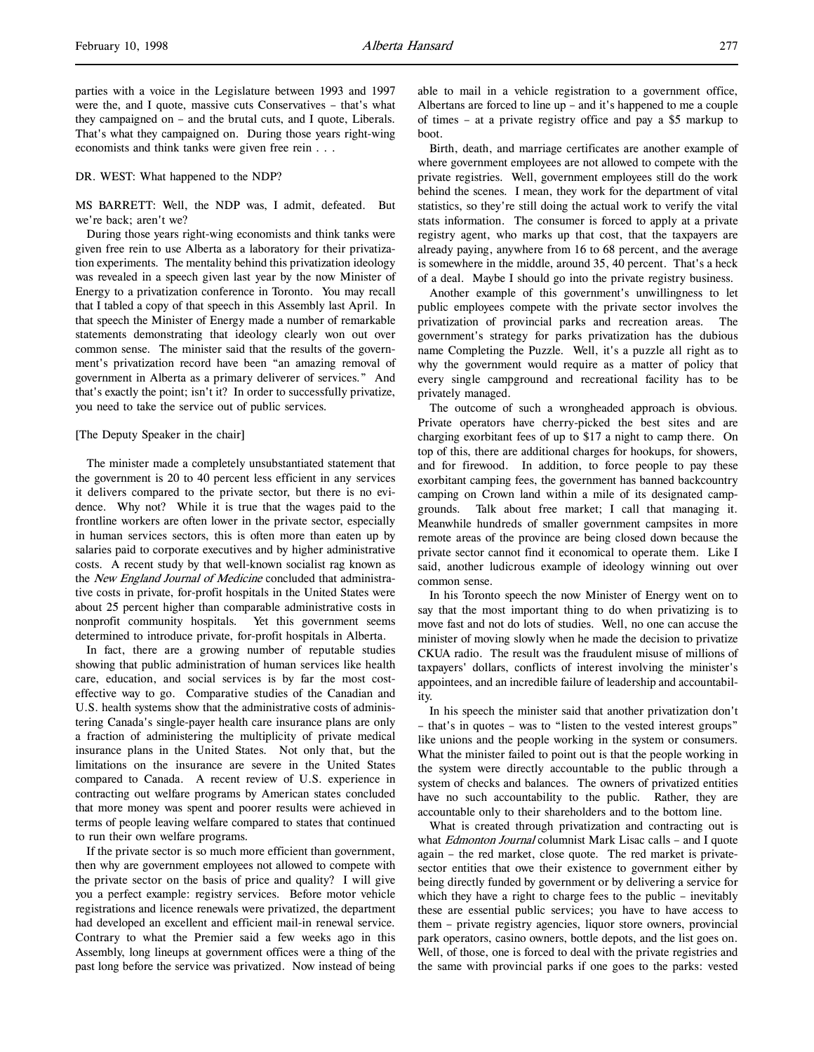parties with a voice in the Legislature between 1993 and 1997 were the, and I quote, massive cuts Conservatives – that's what they campaigned on – and the brutal cuts, and I quote, Liberals. That's what they campaigned on. During those years right-wing economists and think tanks were given free rein . . .

### DR. WEST: What happened to the NDP?

MS BARRETT: Well, the NDP was, I admit, defeated. But we're back; aren't we?

During those years right-wing economists and think tanks were given free rein to use Alberta as a laboratory for their privatization experiments. The mentality behind this privatization ideology was revealed in a speech given last year by the now Minister of Energy to a privatization conference in Toronto. You may recall that I tabled a copy of that speech in this Assembly last April. In that speech the Minister of Energy made a number of remarkable statements demonstrating that ideology clearly won out over common sense. The minister said that the results of the government's privatization record have been "an amazing removal of government in Alberta as a primary deliverer of services." And that's exactly the point; isn't it? In order to successfully privatize, you need to take the service out of public services.

### [The Deputy Speaker in the chair]

The minister made a completely unsubstantiated statement that the government is 20 to 40 percent less efficient in any services it delivers compared to the private sector, but there is no evidence. Why not? While it is true that the wages paid to the frontline workers are often lower in the private sector, especially in human services sectors, this is often more than eaten up by salaries paid to corporate executives and by higher administrative costs. A recent study by that well-known socialist rag known as the New England Journal of Medicine concluded that administrative costs in private, for-profit hospitals in the United States were about 25 percent higher than comparable administrative costs in nonprofit community hospitals. Yet this government seems determined to introduce private, for-profit hospitals in Alberta.

In fact, there are a growing number of reputable studies showing that public administration of human services like health care, education, and social services is by far the most costeffective way to go. Comparative studies of the Canadian and U.S. health systems show that the administrative costs of administering Canada's single-payer health care insurance plans are only a fraction of administering the multiplicity of private medical insurance plans in the United States. Not only that, but the limitations on the insurance are severe in the United States compared to Canada. A recent review of U.S. experience in contracting out welfare programs by American states concluded that more money was spent and poorer results were achieved in terms of people leaving welfare compared to states that continued to run their own welfare programs.

If the private sector is so much more efficient than government, then why are government employees not allowed to compete with the private sector on the basis of price and quality? I will give you a perfect example: registry services. Before motor vehicle registrations and licence renewals were privatized, the department had developed an excellent and efficient mail-in renewal service. Contrary to what the Premier said a few weeks ago in this Assembly, long lineups at government offices were a thing of the past long before the service was privatized. Now instead of being

able to mail in a vehicle registration to a government office, Albertans are forced to line up – and it's happened to me a couple of times – at a private registry office and pay a \$5 markup to boot.

Birth, death, and marriage certificates are another example of where government employees are not allowed to compete with the private registries. Well, government employees still do the work behind the scenes. I mean, they work for the department of vital statistics, so they're still doing the actual work to verify the vital stats information. The consumer is forced to apply at a private registry agent, who marks up that cost, that the taxpayers are already paying, anywhere from 16 to 68 percent, and the average is somewhere in the middle, around 35, 40 percent. That's a heck of a deal. Maybe I should go into the private registry business.

Another example of this government's unwillingness to let public employees compete with the private sector involves the privatization of provincial parks and recreation areas. The government's strategy for parks privatization has the dubious name Completing the Puzzle. Well, it's a puzzle all right as to why the government would require as a matter of policy that every single campground and recreational facility has to be privately managed.

The outcome of such a wrongheaded approach is obvious. Private operators have cherry-picked the best sites and are charging exorbitant fees of up to \$17 a night to camp there. On top of this, there are additional charges for hookups, for showers, and for firewood. In addition, to force people to pay these exorbitant camping fees, the government has banned backcountry camping on Crown land within a mile of its designated campgrounds. Talk about free market; I call that managing it. Meanwhile hundreds of smaller government campsites in more remote areas of the province are being closed down because the private sector cannot find it economical to operate them. Like I said, another ludicrous example of ideology winning out over common sense.

In his Toronto speech the now Minister of Energy went on to say that the most important thing to do when privatizing is to move fast and not do lots of studies. Well, no one can accuse the minister of moving slowly when he made the decision to privatize CKUA radio. The result was the fraudulent misuse of millions of taxpayers' dollars, conflicts of interest involving the minister's appointees, and an incredible failure of leadership and accountability.

In his speech the minister said that another privatization don't – that's in quotes – was to "listen to the vested interest groups" like unions and the people working in the system or consumers. What the minister failed to point out is that the people working in the system were directly accountable to the public through a system of checks and balances. The owners of privatized entities have no such accountability to the public. Rather, they are accountable only to their shareholders and to the bottom line.

What is created through privatization and contracting out is what *Edmonton Journal* columnist Mark Lisac calls - and I quote again – the red market, close quote. The red market is privatesector entities that owe their existence to government either by being directly funded by government or by delivering a service for which they have a right to charge fees to the public – inevitably these are essential public services; you have to have access to them – private registry agencies, liquor store owners, provincial park operators, casino owners, bottle depots, and the list goes on. Well, of those, one is forced to deal with the private registries and the same with provincial parks if one goes to the parks: vested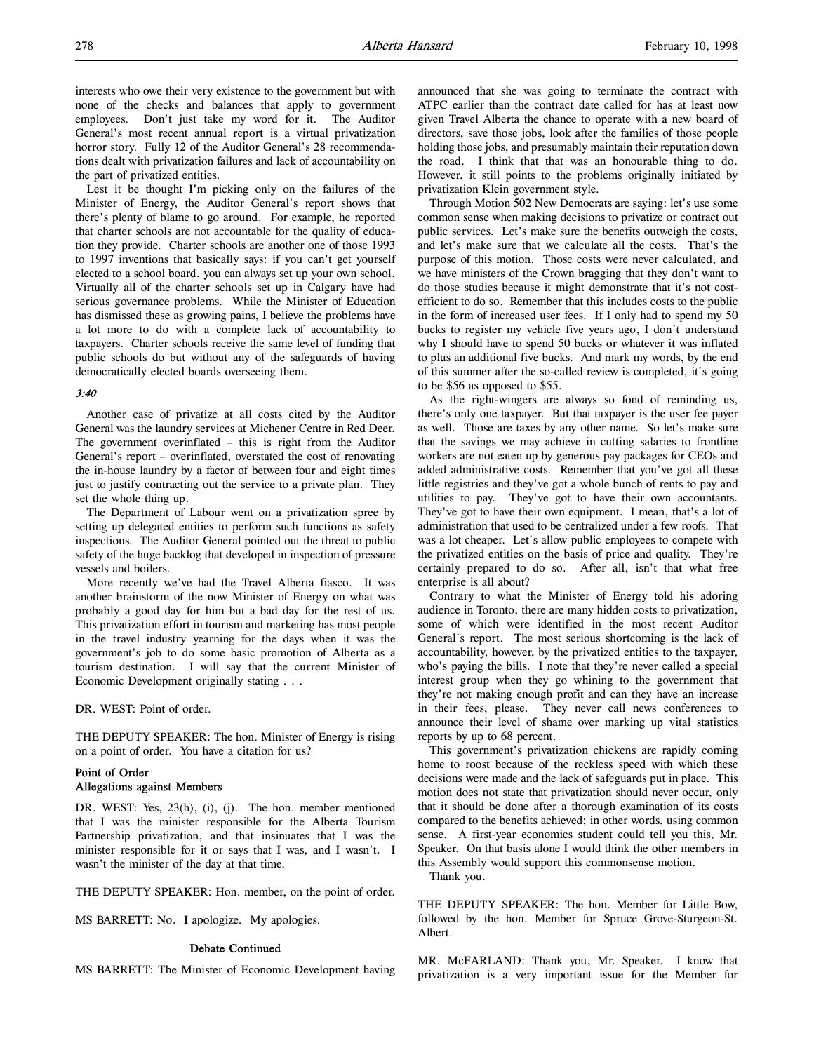interests who owe their very existence to the government but with none of the checks and balances that apply to government employees. Don't just take my word for it. The Auditor General's most recent annual report is a virtual privatization horror story. Fully 12 of the Auditor General's 28 recommendations dealt with privatization failures and lack of accountability on the part of privatized entities.

Lest it be thought I'm picking only on the failures of the Minister of Energy, the Auditor General's report shows that there's plenty of blame to go around. For example, he reported that charter schools are not accountable for the quality of education they provide. Charter schools are another one of those 1993 to 1997 inventions that basically says: if you can't get yourself elected to a school board, you can always set up your own school. Virtually all of the charter schools set up in Calgary have had serious governance problems. While the Minister of Education has dismissed these as growing pains, I believe the problems have a lot more to do with a complete lack of accountability to taxpayers. Charter schools receive the same level of funding that public schools do but without any of the safeguards of having democratically elected boards overseeing them.

# 3:40

Another case of privatize at all costs cited by the Auditor General was the laundry services at Michener Centre in Red Deer. The government overinflated – this is right from the Auditor General's report – overinflated, overstated the cost of renovating the in-house laundry by a factor of between four and eight times just to justify contracting out the service to a private plan. They set the whole thing up.

The Department of Labour went on a privatization spree by setting up delegated entities to perform such functions as safety inspections. The Auditor General pointed out the threat to public safety of the huge backlog that developed in inspection of pressure vessels and boilers.

More recently we've had the Travel Alberta fiasco. It was another brainstorm of the now Minister of Energy on what was probably a good day for him but a bad day for the rest of us. This privatization effort in tourism and marketing has most people in the travel industry yearning for the days when it was the government's job to do some basic promotion of Alberta as a tourism destination. I will say that the current Minister of Economic Development originally stating . . .

DR. WEST: Point of order.

THE DEPUTY SPEAKER: The hon. Minister of Energy is rising on a point of order. You have a citation for us?

# Point of Order Allegations against Members

DR. WEST: Yes, 23(h), (i), (j). The hon. member mentioned that I was the minister responsible for the Alberta Tourism Partnership privatization, and that insinuates that I was the minister responsible for it or says that I was, and I wasn't. I wasn't the minister of the day at that time.

THE DEPUTY SPEAKER: Hon. member, on the point of order.

MS BARRETT: No. I apologize. My apologies.

#### Debate Continued

MS BARRETT: The Minister of Economic Development having

announced that she was going to terminate the contract with ATPC earlier than the contract date called for has at least now given Travel Alberta the chance to operate with a new board of directors, save those jobs, look after the families of those people holding those jobs, and presumably maintain their reputation down the road. I think that that was an honourable thing to do. However, it still points to the problems originally initiated by privatization Klein government style.

Through Motion 502 New Democrats are saying: let's use some common sense when making decisions to privatize or contract out public services. Let's make sure the benefits outweigh the costs, and let's make sure that we calculate all the costs. That's the purpose of this motion. Those costs were never calculated, and we have ministers of the Crown bragging that they don't want to do those studies because it might demonstrate that it's not costefficient to do so. Remember that this includes costs to the public in the form of increased user fees. If I only had to spend my 50 bucks to register my vehicle five years ago, I don't understand why I should have to spend 50 bucks or whatever it was inflated to plus an additional five bucks. And mark my words, by the end of this summer after the so-called review is completed, it's going to be \$56 as opposed to \$55.

As the right-wingers are always so fond of reminding us, there's only one taxpayer. But that taxpayer is the user fee payer as well. Those are taxes by any other name. So let's make sure that the savings we may achieve in cutting salaries to frontline workers are not eaten up by generous pay packages for CEOs and added administrative costs. Remember that you've got all these little registries and they've got a whole bunch of rents to pay and utilities to pay. They've got to have their own accountants. They've got to have their own equipment. I mean, that's a lot of administration that used to be centralized under a few roofs. That was a lot cheaper. Let's allow public employees to compete with the privatized entities on the basis of price and quality. They're certainly prepared to do so. After all, isn't that what free enterprise is all about?

Contrary to what the Minister of Energy told his adoring audience in Toronto, there are many hidden costs to privatization, some of which were identified in the most recent Auditor General's report. The most serious shortcoming is the lack of accountability, however, by the privatized entities to the taxpayer, who's paying the bills. I note that they're never called a special interest group when they go whining to the government that they're not making enough profit and can they have an increase in their fees, please. They never call news conferences to announce their level of shame over marking up vital statistics reports by up to 68 percent.

This government's privatization chickens are rapidly coming home to roost because of the reckless speed with which these decisions were made and the lack of safeguards put in place. This motion does not state that privatization should never occur, only that it should be done after a thorough examination of its costs compared to the benefits achieved; in other words, using common sense. A first-year economics student could tell you this, Mr. Speaker. On that basis alone I would think the other members in this Assembly would support this commonsense motion.

Thank you.

THE DEPUTY SPEAKER: The hon. Member for Little Bow, followed by the hon. Member for Spruce Grove-Sturgeon-St. Albert.

MR. McFARLAND: Thank you, Mr. Speaker. I know that privatization is a very important issue for the Member for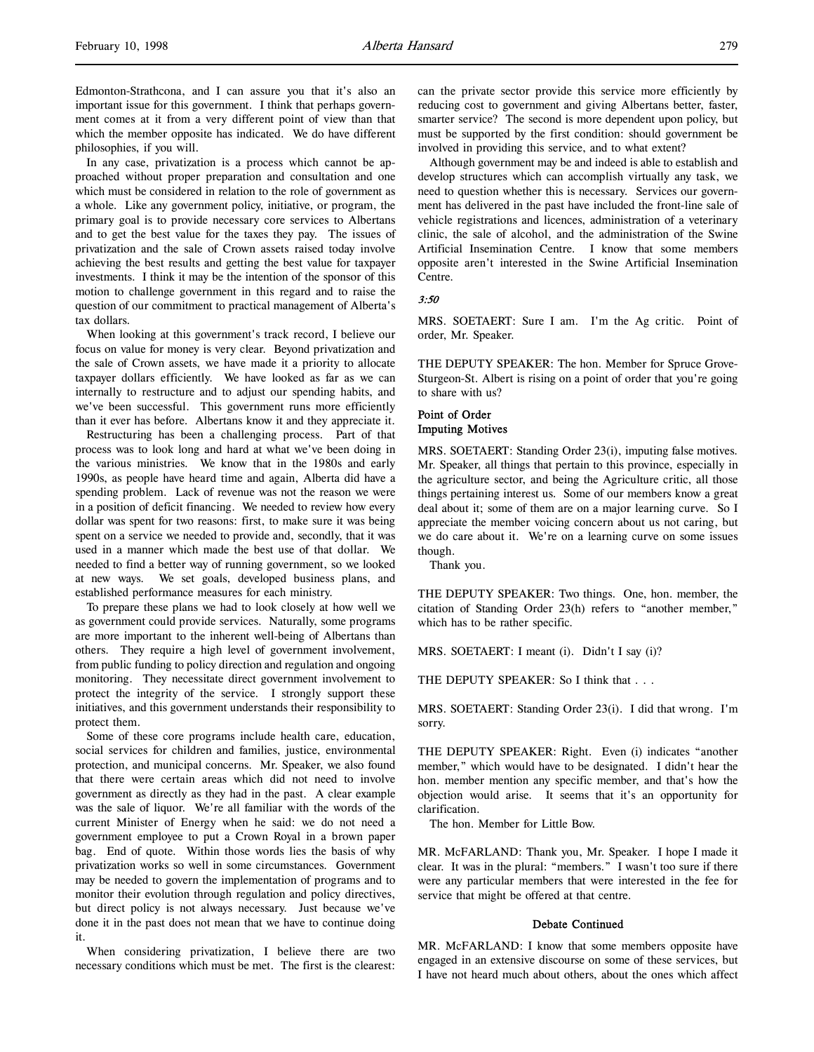Edmonton-Strathcona, and I can assure you that it's also an important issue for this government. I think that perhaps government comes at it from a very different point of view than that which the member opposite has indicated. We do have different philosophies, if you will.

In any case, privatization is a process which cannot be approached without proper preparation and consultation and one which must be considered in relation to the role of government as a whole. Like any government policy, initiative, or program, the primary goal is to provide necessary core services to Albertans and to get the best value for the taxes they pay. The issues of privatization and the sale of Crown assets raised today involve achieving the best results and getting the best value for taxpayer investments. I think it may be the intention of the sponsor of this motion to challenge government in this regard and to raise the question of our commitment to practical management of Alberta's tax dollars.

When looking at this government's track record, I believe our focus on value for money is very clear. Beyond privatization and the sale of Crown assets, we have made it a priority to allocate taxpayer dollars efficiently. We have looked as far as we can internally to restructure and to adjust our spending habits, and we've been successful. This government runs more efficiently than it ever has before. Albertans know it and they appreciate it.

Restructuring has been a challenging process. Part of that process was to look long and hard at what we've been doing in the various ministries. We know that in the 1980s and early 1990s, as people have heard time and again, Alberta did have a spending problem. Lack of revenue was not the reason we were in a position of deficit financing. We needed to review how every dollar was spent for two reasons: first, to make sure it was being spent on a service we needed to provide and, secondly, that it was used in a manner which made the best use of that dollar. We needed to find a better way of running government, so we looked at new ways. We set goals, developed business plans, and established performance measures for each ministry.

To prepare these plans we had to look closely at how well we as government could provide services. Naturally, some programs are more important to the inherent well-being of Albertans than others. They require a high level of government involvement, from public funding to policy direction and regulation and ongoing monitoring. They necessitate direct government involvement to protect the integrity of the service. I strongly support these initiatives, and this government understands their responsibility to protect them.

Some of these core programs include health care, education, social services for children and families, justice, environmental protection, and municipal concerns. Mr. Speaker, we also found that there were certain areas which did not need to involve government as directly as they had in the past. A clear example was the sale of liquor. We're all familiar with the words of the current Minister of Energy when he said: we do not need a government employee to put a Crown Royal in a brown paper bag. End of quote. Within those words lies the basis of why privatization works so well in some circumstances. Government may be needed to govern the implementation of programs and to monitor their evolution through regulation and policy directives, but direct policy is not always necessary. Just because we've done it in the past does not mean that we have to continue doing it.

When considering privatization, I believe there are two necessary conditions which must be met. The first is the clearest:

can the private sector provide this service more efficiently by reducing cost to government and giving Albertans better, faster, smarter service? The second is more dependent upon policy, but must be supported by the first condition: should government be involved in providing this service, and to what extent?

Although government may be and indeed is able to establish and develop structures which can accomplish virtually any task, we need to question whether this is necessary. Services our government has delivered in the past have included the front-line sale of vehicle registrations and licences, administration of a veterinary clinic, the sale of alcohol, and the administration of the Swine Artificial Insemination Centre. I know that some members opposite aren't interested in the Swine Artificial Insemination Centre.

### 3:50

MRS. SOETAERT: Sure I am. I'm the Ag critic. Point of order, Mr. Speaker.

THE DEPUTY SPEAKER: The hon. Member for Spruce Grove-Sturgeon-St. Albert is rising on a point of order that you're going to share with us?

# Point of Order Imputing Motives

MRS. SOETAERT: Standing Order 23(i), imputing false motives. Mr. Speaker, all things that pertain to this province, especially in the agriculture sector, and being the Agriculture critic, all those things pertaining interest us. Some of our members know a great deal about it; some of them are on a major learning curve. So I appreciate the member voicing concern about us not caring, but we do care about it. We're on a learning curve on some issues though.

Thank you.

THE DEPUTY SPEAKER: Two things. One, hon. member, the citation of Standing Order 23(h) refers to "another member," which has to be rather specific.

MRS. SOETAERT: I meant (i). Didn't I say (i)?

THE DEPUTY SPEAKER: So I think that . . .

MRS. SOETAERT: Standing Order 23(i). I did that wrong. I'm sorry.

THE DEPUTY SPEAKER: Right. Even (i) indicates "another member," which would have to be designated. I didn't hear the hon. member mention any specific member, and that's how the objection would arise. It seems that it's an opportunity for clarification.

The hon. Member for Little Bow.

MR. McFARLAND: Thank you, Mr. Speaker. I hope I made it clear. It was in the plural: "members." I wasn't too sure if there were any particular members that were interested in the fee for service that might be offered at that centre.

#### Debate Continued

MR. McFARLAND: I know that some members opposite have engaged in an extensive discourse on some of these services, but I have not heard much about others, about the ones which affect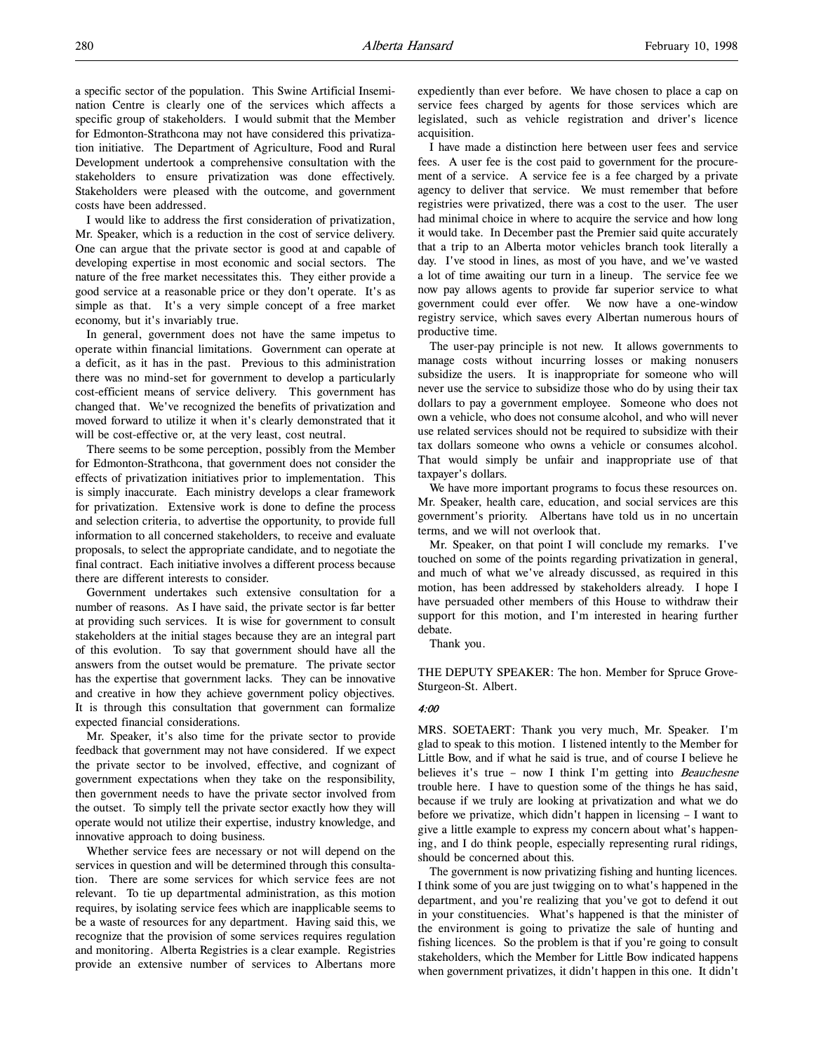a specific sector of the population. This Swine Artificial Insemination Centre is clearly one of the services which affects a specific group of stakeholders. I would submit that the Member for Edmonton-Strathcona may not have considered this privatization initiative. The Department of Agriculture, Food and Rural Development undertook a comprehensive consultation with the stakeholders to ensure privatization was done effectively. Stakeholders were pleased with the outcome, and government costs have been addressed.

I would like to address the first consideration of privatization, Mr. Speaker, which is a reduction in the cost of service delivery. One can argue that the private sector is good at and capable of developing expertise in most economic and social sectors. The nature of the free market necessitates this. They either provide a good service at a reasonable price or they don't operate. It's as simple as that. It's a very simple concept of a free market economy, but it's invariably true.

In general, government does not have the same impetus to operate within financial limitations. Government can operate at a deficit, as it has in the past. Previous to this administration there was no mind-set for government to develop a particularly cost-efficient means of service delivery. This government has changed that. We've recognized the benefits of privatization and moved forward to utilize it when it's clearly demonstrated that it will be cost-effective or, at the very least, cost neutral.

There seems to be some perception, possibly from the Member for Edmonton-Strathcona, that government does not consider the effects of privatization initiatives prior to implementation. This is simply inaccurate. Each ministry develops a clear framework for privatization. Extensive work is done to define the process and selection criteria, to advertise the opportunity, to provide full information to all concerned stakeholders, to receive and evaluate proposals, to select the appropriate candidate, and to negotiate the final contract. Each initiative involves a different process because there are different interests to consider.

Government undertakes such extensive consultation for a number of reasons. As I have said, the private sector is far better at providing such services. It is wise for government to consult stakeholders at the initial stages because they are an integral part of this evolution. To say that government should have all the answers from the outset would be premature. The private sector has the expertise that government lacks. They can be innovative and creative in how they achieve government policy objectives. It is through this consultation that government can formalize expected financial considerations.

Mr. Speaker, it's also time for the private sector to provide feedback that government may not have considered. If we expect the private sector to be involved, effective, and cognizant of government expectations when they take on the responsibility, then government needs to have the private sector involved from the outset. To simply tell the private sector exactly how they will operate would not utilize their expertise, industry knowledge, and innovative approach to doing business.

Whether service fees are necessary or not will depend on the services in question and will be determined through this consultation. There are some services for which service fees are not relevant. To tie up departmental administration, as this motion requires, by isolating service fees which are inapplicable seems to be a waste of resources for any department. Having said this, we recognize that the provision of some services requires regulation and monitoring. Alberta Registries is a clear example. Registries provide an extensive number of services to Albertans more

expediently than ever before. We have chosen to place a cap on service fees charged by agents for those services which are legislated, such as vehicle registration and driver's licence acquisition.

I have made a distinction here between user fees and service fees. A user fee is the cost paid to government for the procurement of a service. A service fee is a fee charged by a private agency to deliver that service. We must remember that before registries were privatized, there was a cost to the user. The user had minimal choice in where to acquire the service and how long it would take. In December past the Premier said quite accurately that a trip to an Alberta motor vehicles branch took literally a day. I've stood in lines, as most of you have, and we've wasted a lot of time awaiting our turn in a lineup. The service fee we now pay allows agents to provide far superior service to what government could ever offer. We now have a one-window registry service, which saves every Albertan numerous hours of productive time.

The user-pay principle is not new. It allows governments to manage costs without incurring losses or making nonusers subsidize the users. It is inappropriate for someone who will never use the service to subsidize those who do by using their tax dollars to pay a government employee. Someone who does not own a vehicle, who does not consume alcohol, and who will never use related services should not be required to subsidize with their tax dollars someone who owns a vehicle or consumes alcohol. That would simply be unfair and inappropriate use of that taxpayer's dollars.

We have more important programs to focus these resources on. Mr. Speaker, health care, education, and social services are this government's priority. Albertans have told us in no uncertain terms, and we will not overlook that.

Mr. Speaker, on that point I will conclude my remarks. I've touched on some of the points regarding privatization in general, and much of what we've already discussed, as required in this motion, has been addressed by stakeholders already. I hope I have persuaded other members of this House to withdraw their support for this motion, and I'm interested in hearing further debate.

Thank you.

THE DEPUTY SPEAKER: The hon. Member for Spruce Grove-Sturgeon-St. Albert.

#### 4:00

MRS. SOETAERT: Thank you very much, Mr. Speaker. I'm glad to speak to this motion. I listened intently to the Member for Little Bow, and if what he said is true, and of course I believe he believes it's true – now I think I'm getting into Beauchesne trouble here. I have to question some of the things he has said, because if we truly are looking at privatization and what we do before we privatize, which didn't happen in licensing – I want to give a little example to express my concern about what's happening, and I do think people, especially representing rural ridings, should be concerned about this.

The government is now privatizing fishing and hunting licences. I think some of you are just twigging on to what's happened in the department, and you're realizing that you've got to defend it out in your constituencies. What's happened is that the minister of the environment is going to privatize the sale of hunting and fishing licences. So the problem is that if you're going to consult stakeholders, which the Member for Little Bow indicated happens when government privatizes, it didn't happen in this one. It didn't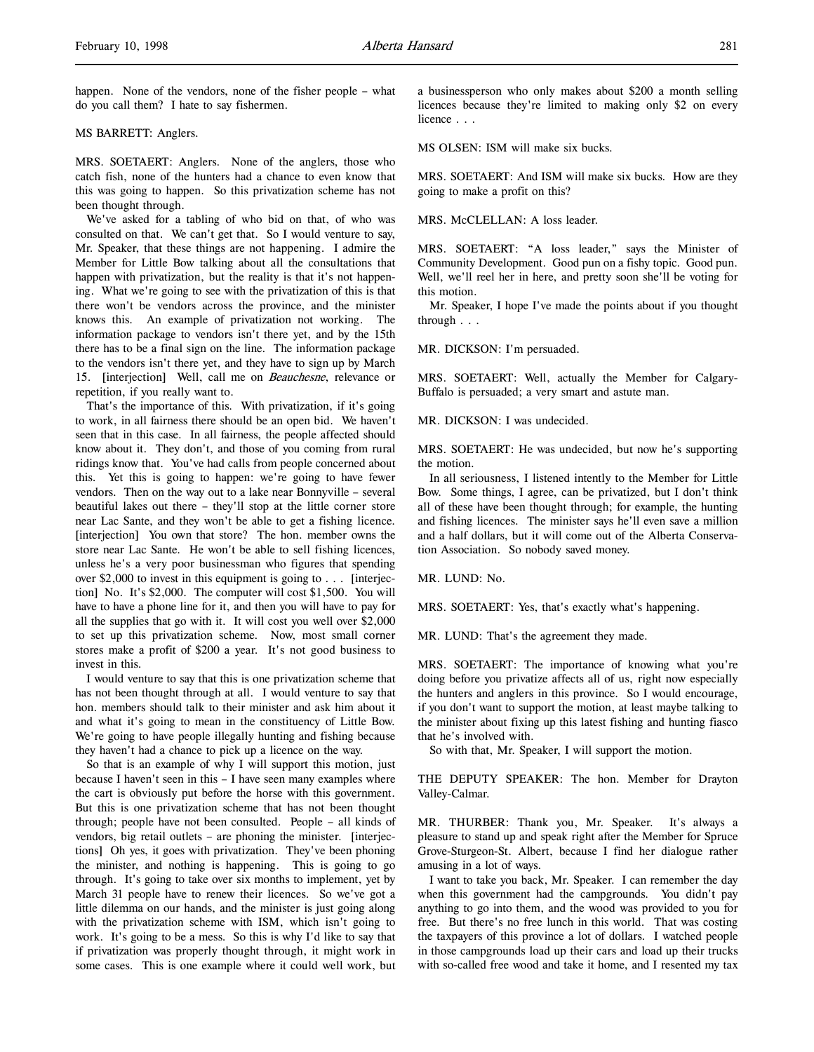happen. None of the vendors, none of the fisher people – what do you call them? I hate to say fishermen.

MS BARRETT: Anglers.

MRS. SOETAERT: Anglers. None of the anglers, those who catch fish, none of the hunters had a chance to even know that this was going to happen. So this privatization scheme has not been thought through.

We've asked for a tabling of who bid on that, of who was consulted on that. We can't get that. So I would venture to say, Mr. Speaker, that these things are not happening. I admire the Member for Little Bow talking about all the consultations that happen with privatization, but the reality is that it's not happening. What we're going to see with the privatization of this is that there won't be vendors across the province, and the minister knows this. An example of privatization not working. The information package to vendors isn't there yet, and by the 15th there has to be a final sign on the line. The information package to the vendors isn't there yet, and they have to sign up by March 15. [interjection] Well, call me on Beauchesne, relevance or repetition, if you really want to.

That's the importance of this. With privatization, if it's going to work, in all fairness there should be an open bid. We haven't seen that in this case. In all fairness, the people affected should know about it. They don't, and those of you coming from rural ridings know that. You've had calls from people concerned about this. Yet this is going to happen: we're going to have fewer vendors. Then on the way out to a lake near Bonnyville – several beautiful lakes out there – they'll stop at the little corner store near Lac Sante, and they won't be able to get a fishing licence. [interjection] You own that store? The hon. member owns the store near Lac Sante. He won't be able to sell fishing licences, unless he's a very poor businessman who figures that spending over \$2,000 to invest in this equipment is going to . . . [interjection] No. It's \$2,000. The computer will cost \$1,500. You will have to have a phone line for it, and then you will have to pay for all the supplies that go with it. It will cost you well over \$2,000 to set up this privatization scheme. Now, most small corner stores make a profit of \$200 a year. It's not good business to invest in this.

I would venture to say that this is one privatization scheme that has not been thought through at all. I would venture to say that hon. members should talk to their minister and ask him about it and what it's going to mean in the constituency of Little Bow. We're going to have people illegally hunting and fishing because they haven't had a chance to pick up a licence on the way.

So that is an example of why I will support this motion, just because I haven't seen in this – I have seen many examples where the cart is obviously put before the horse with this government. But this is one privatization scheme that has not been thought through; people have not been consulted. People – all kinds of vendors, big retail outlets – are phoning the minister. [interjections] Oh yes, it goes with privatization. They've been phoning the minister, and nothing is happening. This is going to go through. It's going to take over six months to implement, yet by March 31 people have to renew their licences. So we've got a little dilemma on our hands, and the minister is just going along with the privatization scheme with ISM, which isn't going to work. It's going to be a mess. So this is why I'd like to say that if privatization was properly thought through, it might work in some cases. This is one example where it could well work, but a businessperson who only makes about \$200 a month selling licences because they're limited to making only \$2 on every licence . . .

MS OLSEN: ISM will make six bucks.

MRS. SOETAERT: And ISM will make six bucks. How are they going to make a profit on this?

MRS. McCLELLAN: A loss leader.

MRS. SOETAERT: "A loss leader," says the Minister of Community Development. Good pun on a fishy topic. Good pun. Well, we'll reel her in here, and pretty soon she'll be voting for this motion.

Mr. Speaker, I hope I've made the points about if you thought through . . .

MR. DICKSON: I'm persuaded.

MRS. SOETAERT: Well, actually the Member for Calgary-Buffalo is persuaded; a very smart and astute man.

MR. DICKSON: I was undecided.

MRS. SOETAERT: He was undecided, but now he's supporting the motion.

In all seriousness, I listened intently to the Member for Little Bow. Some things, I agree, can be privatized, but I don't think all of these have been thought through; for example, the hunting and fishing licences. The minister says he'll even save a million and a half dollars, but it will come out of the Alberta Conservation Association. So nobody saved money.

MR. LUND: No.

MRS. SOETAERT: Yes, that's exactly what's happening.

MR. LUND: That's the agreement they made.

MRS. SOETAERT: The importance of knowing what you're doing before you privatize affects all of us, right now especially the hunters and anglers in this province. So I would encourage, if you don't want to support the motion, at least maybe talking to the minister about fixing up this latest fishing and hunting fiasco that he's involved with.

So with that, Mr. Speaker, I will support the motion.

THE DEPUTY SPEAKER: The hon. Member for Drayton Valley-Calmar.

MR. THURBER: Thank you, Mr. Speaker. It's always a pleasure to stand up and speak right after the Member for Spruce Grove-Sturgeon-St. Albert, because I find her dialogue rather amusing in a lot of ways.

I want to take you back, Mr. Speaker. I can remember the day when this government had the campgrounds. You didn't pay anything to go into them, and the wood was provided to you for free. But there's no free lunch in this world. That was costing the taxpayers of this province a lot of dollars. I watched people in those campgrounds load up their cars and load up their trucks with so-called free wood and take it home, and I resented my tax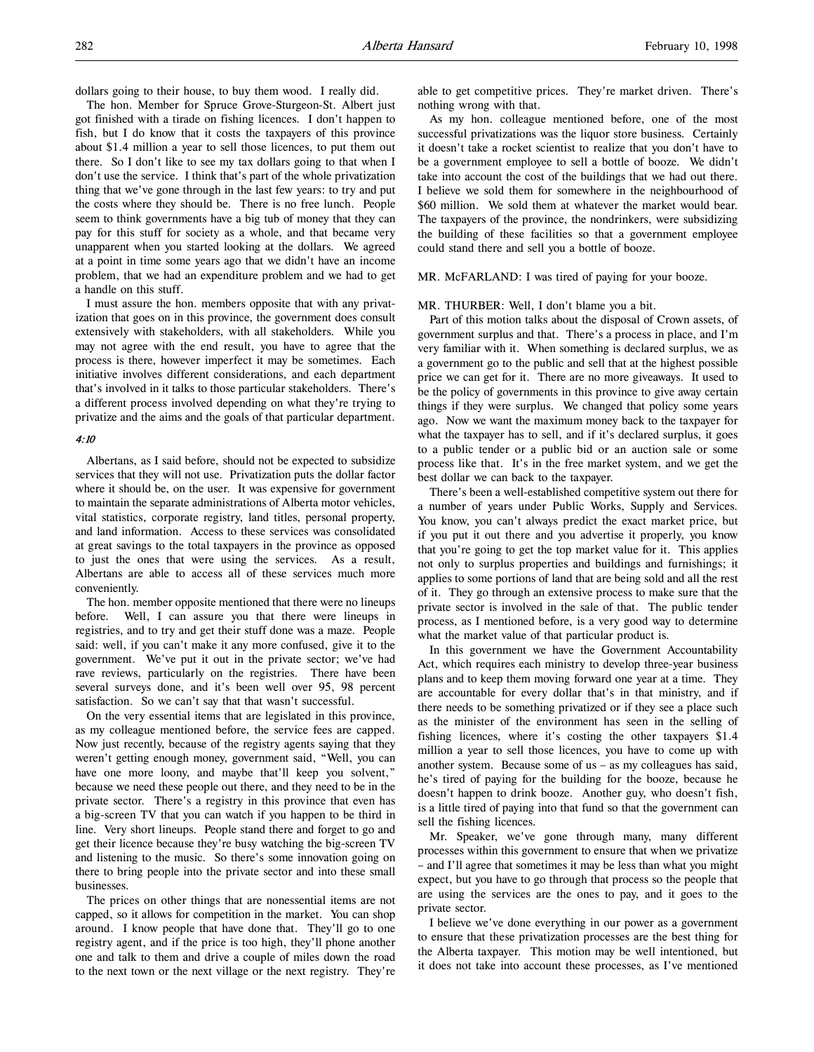dollars going to their house, to buy them wood. I really did.

The hon. Member for Spruce Grove-Sturgeon-St. Albert just got finished with a tirade on fishing licences. I don't happen to fish, but I do know that it costs the taxpayers of this province about \$1.4 million a year to sell those licences, to put them out there. So I don't like to see my tax dollars going to that when I don't use the service. I think that's part of the whole privatization thing that we've gone through in the last few years: to try and put the costs where they should be. There is no free lunch. People seem to think governments have a big tub of money that they can pay for this stuff for society as a whole, and that became very unapparent when you started looking at the dollars. We agreed at a point in time some years ago that we didn't have an income problem, that we had an expenditure problem and we had to get a handle on this stuff.

I must assure the hon. members opposite that with any privatization that goes on in this province, the government does consult extensively with stakeholders, with all stakeholders. While you may not agree with the end result, you have to agree that the process is there, however imperfect it may be sometimes. Each initiative involves different considerations, and each department that's involved in it talks to those particular stakeholders. There's a different process involved depending on what they're trying to privatize and the aims and the goals of that particular department.

# 4:10

Albertans, as I said before, should not be expected to subsidize services that they will not use. Privatization puts the dollar factor where it should be, on the user. It was expensive for government to maintain the separate administrations of Alberta motor vehicles, vital statistics, corporate registry, land titles, personal property, and land information. Access to these services was consolidated at great savings to the total taxpayers in the province as opposed to just the ones that were using the services. As a result, Albertans are able to access all of these services much more conveniently.

The hon. member opposite mentioned that there were no lineups before. Well, I can assure you that there were lineups in registries, and to try and get their stuff done was a maze. People said: well, if you can't make it any more confused, give it to the government. We've put it out in the private sector; we've had rave reviews, particularly on the registries. There have been several surveys done, and it's been well over 95, 98 percent satisfaction. So we can't say that that wasn't successful.

On the very essential items that are legislated in this province, as my colleague mentioned before, the service fees are capped. Now just recently, because of the registry agents saying that they weren't getting enough money, government said, "Well, you can have one more loony, and maybe that'll keep you solvent," because we need these people out there, and they need to be in the private sector. There's a registry in this province that even has a big-screen TV that you can watch if you happen to be third in line. Very short lineups. People stand there and forget to go and get their licence because they're busy watching the big-screen TV and listening to the music. So there's some innovation going on there to bring people into the private sector and into these small businesses.

The prices on other things that are nonessential items are not capped, so it allows for competition in the market. You can shop around. I know people that have done that. They'll go to one registry agent, and if the price is too high, they'll phone another one and talk to them and drive a couple of miles down the road to the next town or the next village or the next registry. They're

able to get competitive prices. They're market driven. There's nothing wrong with that.

As my hon. colleague mentioned before, one of the most successful privatizations was the liquor store business. Certainly it doesn't take a rocket scientist to realize that you don't have to be a government employee to sell a bottle of booze. We didn't take into account the cost of the buildings that we had out there. I believe we sold them for somewhere in the neighbourhood of \$60 million. We sold them at whatever the market would bear. The taxpayers of the province, the nondrinkers, were subsidizing the building of these facilities so that a government employee could stand there and sell you a bottle of booze.

MR. McFARLAND: I was tired of paying for your booze.

#### MR. THURBER: Well, I don't blame you a bit.

Part of this motion talks about the disposal of Crown assets, of government surplus and that. There's a process in place, and I'm very familiar with it. When something is declared surplus, we as a government go to the public and sell that at the highest possible price we can get for it. There are no more giveaways. It used to be the policy of governments in this province to give away certain things if they were surplus. We changed that policy some years ago. Now we want the maximum money back to the taxpayer for what the taxpayer has to sell, and if it's declared surplus, it goes to a public tender or a public bid or an auction sale or some process like that. It's in the free market system, and we get the best dollar we can back to the taxpayer.

There's been a well-established competitive system out there for a number of years under Public Works, Supply and Services. You know, you can't always predict the exact market price, but if you put it out there and you advertise it properly, you know that you're going to get the top market value for it. This applies not only to surplus properties and buildings and furnishings; it applies to some portions of land that are being sold and all the rest of it. They go through an extensive process to make sure that the private sector is involved in the sale of that. The public tender process, as I mentioned before, is a very good way to determine what the market value of that particular product is.

In this government we have the Government Accountability Act, which requires each ministry to develop three-year business plans and to keep them moving forward one year at a time. They are accountable for every dollar that's in that ministry, and if there needs to be something privatized or if they see a place such as the minister of the environment has seen in the selling of fishing licences, where it's costing the other taxpayers \$1.4 million a year to sell those licences, you have to come up with another system. Because some of us – as my colleagues has said, he's tired of paying for the building for the booze, because he doesn't happen to drink booze. Another guy, who doesn't fish, is a little tired of paying into that fund so that the government can sell the fishing licences.

Mr. Speaker, we've gone through many, many different processes within this government to ensure that when we privatize – and I'll agree that sometimes it may be less than what you might expect, but you have to go through that process so the people that are using the services are the ones to pay, and it goes to the private sector.

I believe we've done everything in our power as a government to ensure that these privatization processes are the best thing for the Alberta taxpayer. This motion may be well intentioned, but it does not take into account these processes, as I've mentioned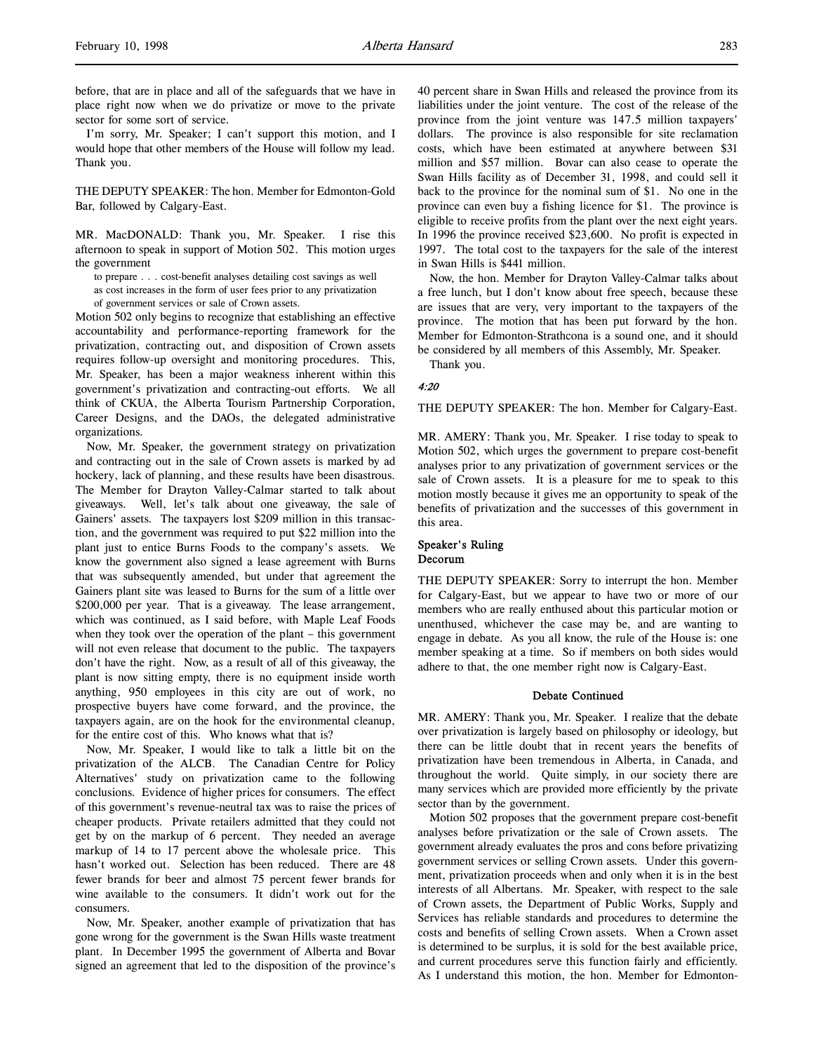before, that are in place and all of the safeguards that we have in place right now when we do privatize or move to the private sector for some sort of service.

I'm sorry, Mr. Speaker; I can't support this motion, and I would hope that other members of the House will follow my lead. Thank you.

THE DEPUTY SPEAKER: The hon. Member for Edmonton-Gold Bar, followed by Calgary-East.

MR. MacDONALD: Thank you, Mr. Speaker. I rise this afternoon to speak in support of Motion 502. This motion urges the government

to prepare . . . cost-benefit analyses detailing cost savings as well

as cost increases in the form of user fees prior to any privatization

of government services or sale of Crown assets.

Motion 502 only begins to recognize that establishing an effective accountability and performance-reporting framework for the privatization, contracting out, and disposition of Crown assets requires follow-up oversight and monitoring procedures. This, Mr. Speaker, has been a major weakness inherent within this government's privatization and contracting-out efforts. We all think of CKUA, the Alberta Tourism Partnership Corporation, Career Designs, and the DAOs, the delegated administrative organizations.

Now, Mr. Speaker, the government strategy on privatization and contracting out in the sale of Crown assets is marked by ad hockery, lack of planning, and these results have been disastrous. The Member for Drayton Valley-Calmar started to talk about giveaways. Well, let's talk about one giveaway, the sale of Gainers' assets. The taxpayers lost \$209 million in this transaction, and the government was required to put \$22 million into the plant just to entice Burns Foods to the company's assets. We know the government also signed a lease agreement with Burns that was subsequently amended, but under that agreement the Gainers plant site was leased to Burns for the sum of a little over \$200,000 per year. That is a giveaway. The lease arrangement, which was continued, as I said before, with Maple Leaf Foods when they took over the operation of the plant – this government will not even release that document to the public. The taxpayers don't have the right. Now, as a result of all of this giveaway, the plant is now sitting empty, there is no equipment inside worth anything, 950 employees in this city are out of work, no prospective buyers have come forward, and the province, the taxpayers again, are on the hook for the environmental cleanup, for the entire cost of this. Who knows what that is?

Now, Mr. Speaker, I would like to talk a little bit on the privatization of the ALCB. The Canadian Centre for Policy Alternatives' study on privatization came to the following conclusions. Evidence of higher prices for consumers. The effect of this government's revenue-neutral tax was to raise the prices of cheaper products. Private retailers admitted that they could not get by on the markup of 6 percent. They needed an average markup of 14 to 17 percent above the wholesale price. This hasn't worked out. Selection has been reduced. There are 48 fewer brands for beer and almost 75 percent fewer brands for wine available to the consumers. It didn't work out for the consumers.

Now, Mr. Speaker, another example of privatization that has gone wrong for the government is the Swan Hills waste treatment plant. In December 1995 the government of Alberta and Bovar signed an agreement that led to the disposition of the province's 40 percent share in Swan Hills and released the province from its liabilities under the joint venture. The cost of the release of the province from the joint venture was 147.5 million taxpayers' dollars. The province is also responsible for site reclamation costs, which have been estimated at anywhere between \$31 million and \$57 million. Bovar can also cease to operate the Swan Hills facility as of December 31, 1998, and could sell it back to the province for the nominal sum of \$1. No one in the province can even buy a fishing licence for \$1. The province is eligible to receive profits from the plant over the next eight years. In 1996 the province received \$23,600. No profit is expected in 1997. The total cost to the taxpayers for the sale of the interest in Swan Hills is \$441 million.

Now, the hon. Member for Drayton Valley-Calmar talks about a free lunch, but I don't know about free speech, because these are issues that are very, very important to the taxpayers of the province. The motion that has been put forward by the hon. Member for Edmonton-Strathcona is a sound one, and it should be considered by all members of this Assembly, Mr. Speaker.

Thank you.

### 4:20

THE DEPUTY SPEAKER: The hon. Member for Calgary-East.

MR. AMERY: Thank you, Mr. Speaker. I rise today to speak to Motion 502, which urges the government to prepare cost-benefit analyses prior to any privatization of government services or the sale of Crown assets. It is a pleasure for me to speak to this motion mostly because it gives me an opportunity to speak of the benefits of privatization and the successes of this government in this area.

#### Speaker's Ruling Decorum

THE DEPUTY SPEAKER: Sorry to interrupt the hon. Member for Calgary-East, but we appear to have two or more of our members who are really enthused about this particular motion or unenthused, whichever the case may be, and are wanting to engage in debate. As you all know, the rule of the House is: one member speaking at a time. So if members on both sides would adhere to that, the one member right now is Calgary-East.

#### Debate Continued

MR. AMERY: Thank you, Mr. Speaker. I realize that the debate over privatization is largely based on philosophy or ideology, but there can be little doubt that in recent years the benefits of privatization have been tremendous in Alberta, in Canada, and throughout the world. Quite simply, in our society there are many services which are provided more efficiently by the private sector than by the government.

Motion 502 proposes that the government prepare cost-benefit analyses before privatization or the sale of Crown assets. The government already evaluates the pros and cons before privatizing government services or selling Crown assets. Under this government, privatization proceeds when and only when it is in the best interests of all Albertans. Mr. Speaker, with respect to the sale of Crown assets, the Department of Public Works, Supply and Services has reliable standards and procedures to determine the costs and benefits of selling Crown assets. When a Crown asset is determined to be surplus, it is sold for the best available price, and current procedures serve this function fairly and efficiently. As I understand this motion, the hon. Member for Edmonton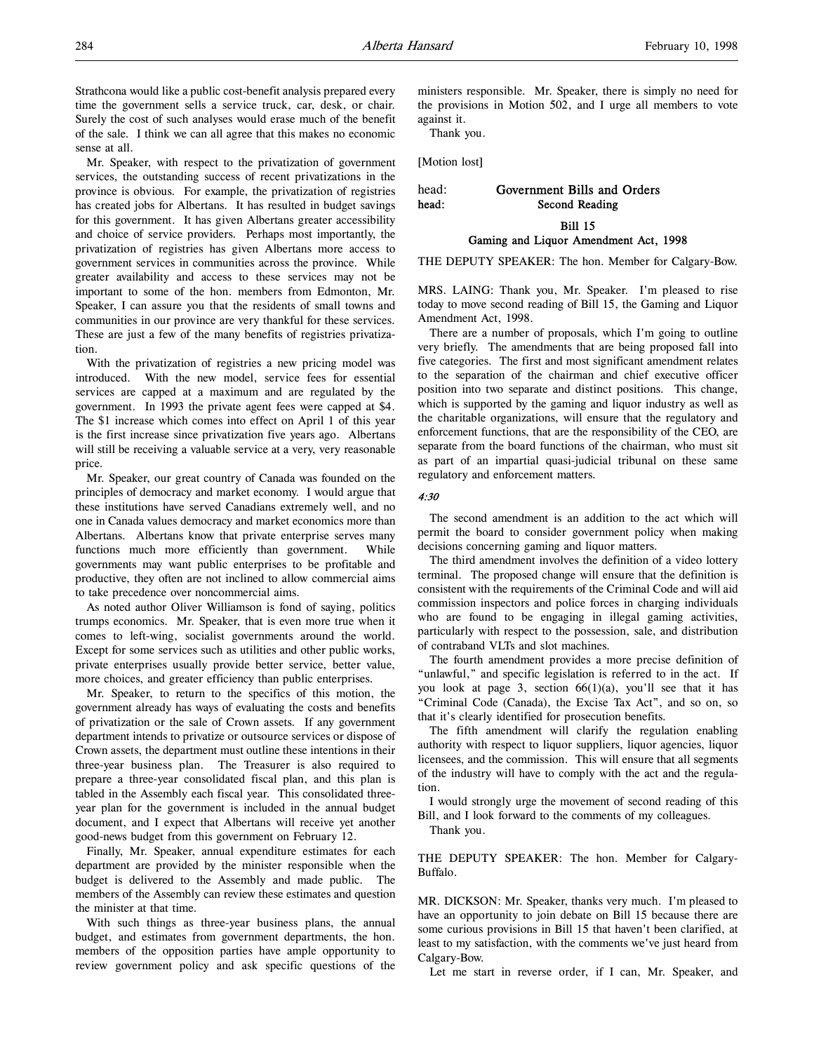Strathcona would like a public cost-benefit analysis prepared every time the government sells a service truck, car, desk, or chair. Surely the cost of such analyses would erase much of the benefit of the sale. I think we can all agree that this makes no economic sense at all.

Mr. Speaker, with respect to the privatization of government services, the outstanding success of recent privatizations in the province is obvious. For example, the privatization of registries has created jobs for Albertans. It has resulted in budget savings for this government. It has given Albertans greater accessibility and choice of service providers. Perhaps most importantly, the privatization of registries has given Albertans more access to government services in communities across the province. While greater availability and access to these services may not be important to some of the hon. members from Edmonton, Mr. Speaker, I can assure you that the residents of small towns and communities in our province are very thankful for these services. These are just a few of the many benefits of registries privatization.

With the privatization of registries a new pricing model was introduced. With the new model, service fees for essential services are capped at a maximum and are regulated by the government. In 1993 the private agent fees were capped at \$4. The \$1 increase which comes into effect on April 1 of this year is the first increase since privatization five years ago. Albertans will still be receiving a valuable service at a very, very reasonable price.

Mr. Speaker, our great country of Canada was founded on the principles of democracy and market economy. I would argue that these institutions have served Canadians extremely well, and no one in Canada values democracy and market economics more than Albertans. Albertans know that private enterprise serves many functions much more efficiently than government. While governments may want public enterprises to be profitable and productive, they often are not inclined to allow commercial aims to take precedence over noncommercial aims.

As noted author Oliver Williamson is fond of saying, politics trumps economics. Mr. Speaker, that is even more true when it comes to left-wing, socialist governments around the world. Except for some services such as utilities and other public works, private enterprises usually provide better service, better value, more choices, and greater efficiency than public enterprises.

Mr. Speaker, to return to the specifics of this motion, the government already has ways of evaluating the costs and benefits of privatization or the sale of Crown assets. If any government department intends to privatize or outsource services or dispose of Crown assets, the department must outline these intentions in their three-year business plan. The Treasurer is also required to prepare a three-year consolidated fiscal plan, and this plan is tabled in the Assembly each fiscal year. This consolidated threeyear plan for the government is included in the annual budget document, and I expect that Albertans will receive yet another good-news budget from this government on February 12.

Finally, Mr. Speaker, annual expenditure estimates for each department are provided by the minister responsible when the budget is delivered to the Assembly and made public. The members of the Assembly can review these estimates and question the minister at that time.

With such things as three-year business plans, the annual budget, and estimates from government departments, the hon. members of the opposition parties have ample opportunity to review government policy and ask specific questions of the

ministers responsible. Mr. Speaker, there is simply no need for the provisions in Motion 502, and I urge all members to vote against it.

Thank you.

[Motion lost]

# head: Government Bills and Orders head: Second Reading Bill 15

# Gaming and Liquor Amendment Act, 1998

THE DEPUTY SPEAKER: The hon. Member for Calgary-Bow.

MRS. LAING: Thank you, Mr. Speaker. I'm pleased to rise today to move second reading of Bill 15, the Gaming and Liquor Amendment Act, 1998.

There are a number of proposals, which I'm going to outline very briefly. The amendments that are being proposed fall into five categories. The first and most significant amendment relates to the separation of the chairman and chief executive officer position into two separate and distinct positions. This change, which is supported by the gaming and liquor industry as well as the charitable organizations, will ensure that the regulatory and enforcement functions, that are the responsibility of the CEO, are separate from the board functions of the chairman, who must sit as part of an impartial quasi-judicial tribunal on these same regulatory and enforcement matters.

### 4:30

The second amendment is an addition to the act which will permit the board to consider government policy when making decisions concerning gaming and liquor matters.

The third amendment involves the definition of a video lottery terminal. The proposed change will ensure that the definition is consistent with the requirements of the Criminal Code and will aid commission inspectors and police forces in charging individuals who are found to be engaging in illegal gaming activities, particularly with respect to the possession, sale, and distribution of contraband VLTs and slot machines.

The fourth amendment provides a more precise definition of "unlawful," and specific legislation is referred to in the act. If you look at page 3, section 66(1)(a), you'll see that it has "Criminal Code (Canada), the Excise Tax Act", and so on, so that it's clearly identified for prosecution benefits.

The fifth amendment will clarify the regulation enabling authority with respect to liquor suppliers, liquor agencies, liquor licensees, and the commission. This will ensure that all segments of the industry will have to comply with the act and the regulation.

I would strongly urge the movement of second reading of this Bill, and I look forward to the comments of my colleagues.

Thank you.

THE DEPUTY SPEAKER: The hon. Member for Calgary-Buffalo.

MR. DICKSON: Mr. Speaker, thanks very much. I'm pleased to have an opportunity to join debate on Bill 15 because there are some curious provisions in Bill 15 that haven't been clarified, at least to my satisfaction, with the comments we've just heard from Calgary-Bow.

Let me start in reverse order, if I can, Mr. Speaker, and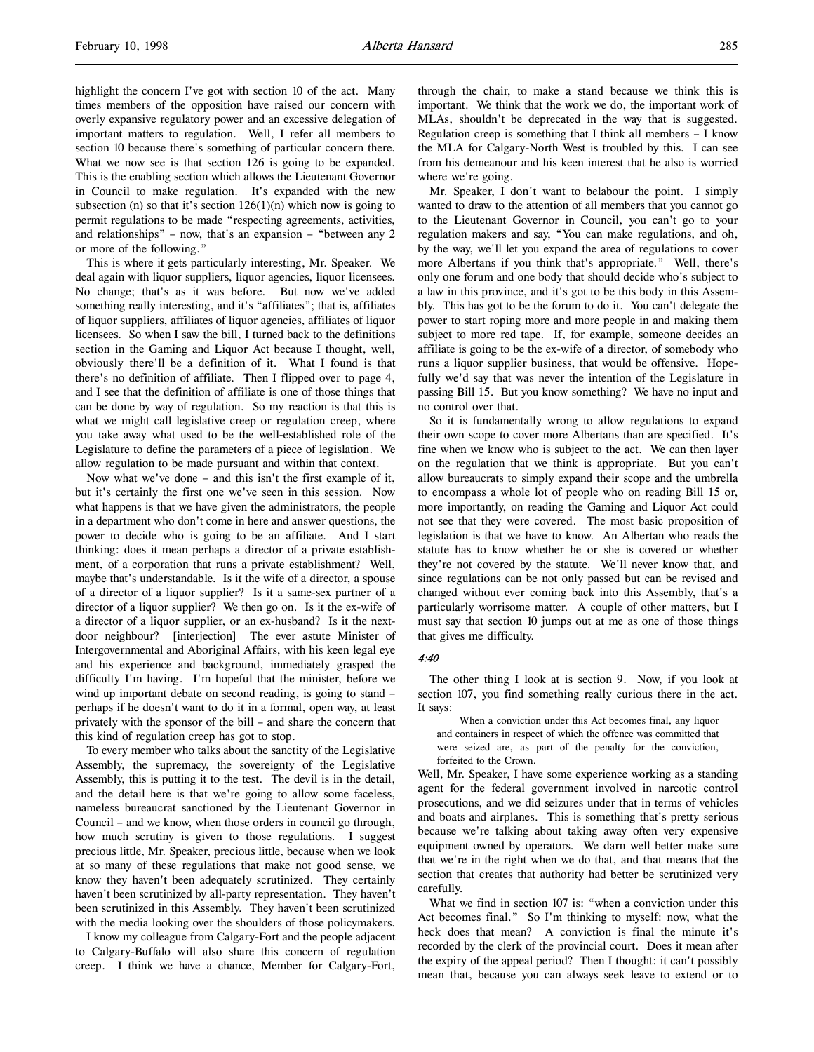highlight the concern I've got with section 10 of the act. Many times members of the opposition have raised our concern with overly expansive regulatory power and an excessive delegation of important matters to regulation. Well, I refer all members to section 10 because there's something of particular concern there. What we now see is that section 126 is going to be expanded. This is the enabling section which allows the Lieutenant Governor in Council to make regulation. It's expanded with the new subsection (n) so that it's section  $126(1)(n)$  which now is going to permit regulations to be made "respecting agreements, activities, and relationships" – now, that's an expansion – "between any 2 or more of the following."

This is where it gets particularly interesting, Mr. Speaker. We deal again with liquor suppliers, liquor agencies, liquor licensees. No change; that's as it was before. But now we've added something really interesting, and it's "affiliates"; that is, affiliates of liquor suppliers, affiliates of liquor agencies, affiliates of liquor licensees. So when I saw the bill, I turned back to the definitions section in the Gaming and Liquor Act because I thought, well, obviously there'll be a definition of it. What I found is that there's no definition of affiliate. Then I flipped over to page 4, and I see that the definition of affiliate is one of those things that can be done by way of regulation. So my reaction is that this is what we might call legislative creep or regulation creep, where you take away what used to be the well-established role of the Legislature to define the parameters of a piece of legislation. We allow regulation to be made pursuant and within that context.

Now what we've done – and this isn't the first example of it, but it's certainly the first one we've seen in this session. Now what happens is that we have given the administrators, the people in a department who don't come in here and answer questions, the power to decide who is going to be an affiliate. And I start thinking: does it mean perhaps a director of a private establishment, of a corporation that runs a private establishment? Well, maybe that's understandable. Is it the wife of a director, a spouse of a director of a liquor supplier? Is it a same-sex partner of a director of a liquor supplier? We then go on. Is it the ex-wife of a director of a liquor supplier, or an ex-husband? Is it the nextdoor neighbour? [interjection] The ever astute Minister of Intergovernmental and Aboriginal Affairs, with his keen legal eye and his experience and background, immediately grasped the difficulty I'm having. I'm hopeful that the minister, before we wind up important debate on second reading, is going to stand perhaps if he doesn't want to do it in a formal, open way, at least privately with the sponsor of the bill – and share the concern that this kind of regulation creep has got to stop.

To every member who talks about the sanctity of the Legislative Assembly, the supremacy, the sovereignty of the Legislative Assembly, this is putting it to the test. The devil is in the detail, and the detail here is that we're going to allow some faceless, nameless bureaucrat sanctioned by the Lieutenant Governor in Council – and we know, when those orders in council go through, how much scrutiny is given to those regulations. I suggest precious little, Mr. Speaker, precious little, because when we look at so many of these regulations that make not good sense, we know they haven't been adequately scrutinized. They certainly haven't been scrutinized by all-party representation. They haven't been scrutinized in this Assembly. They haven't been scrutinized with the media looking over the shoulders of those policymakers.

I know my colleague from Calgary-Fort and the people adjacent to Calgary-Buffalo will also share this concern of regulation creep. I think we have a chance, Member for Calgary-Fort,

through the chair, to make a stand because we think this is important. We think that the work we do, the important work of MLAs, shouldn't be deprecated in the way that is suggested. Regulation creep is something that I think all members – I know the MLA for Calgary-North West is troubled by this. I can see from his demeanour and his keen interest that he also is worried where we're going.

Mr. Speaker, I don't want to belabour the point. I simply wanted to draw to the attention of all members that you cannot go to the Lieutenant Governor in Council, you can't go to your regulation makers and say, "You can make regulations, and oh, by the way, we'll let you expand the area of regulations to cover more Albertans if you think that's appropriate." Well, there's only one forum and one body that should decide who's subject to a law in this province, and it's got to be this body in this Assembly. This has got to be the forum to do it. You can't delegate the power to start roping more and more people in and making them subject to more red tape. If, for example, someone decides an affiliate is going to be the ex-wife of a director, of somebody who runs a liquor supplier business, that would be offensive. Hopefully we'd say that was never the intention of the Legislature in passing Bill 15. But you know something? We have no input and no control over that.

So it is fundamentally wrong to allow regulations to expand their own scope to cover more Albertans than are specified. It's fine when we know who is subject to the act. We can then layer on the regulation that we think is appropriate. But you can't allow bureaucrats to simply expand their scope and the umbrella to encompass a whole lot of people who on reading Bill 15 or, more importantly, on reading the Gaming and Liquor Act could not see that they were covered. The most basic proposition of legislation is that we have to know. An Albertan who reads the statute has to know whether he or she is covered or whether they're not covered by the statute. We'll never know that, and since regulations can be not only passed but can be revised and changed without ever coming back into this Assembly, that's a particularly worrisome matter. A couple of other matters, but I must say that section 10 jumps out at me as one of those things that gives me difficulty.

#### 4:40

The other thing I look at is section 9. Now, if you look at section 107, you find something really curious there in the act. It says:

When a conviction under this Act becomes final, any liquor and containers in respect of which the offence was committed that were seized are, as part of the penalty for the conviction, forfeited to the Crown.

Well, Mr. Speaker, I have some experience working as a standing agent for the federal government involved in narcotic control prosecutions, and we did seizures under that in terms of vehicles and boats and airplanes. This is something that's pretty serious because we're talking about taking away often very expensive equipment owned by operators. We darn well better make sure that we're in the right when we do that, and that means that the section that creates that authority had better be scrutinized very carefully.

What we find in section 107 is: "when a conviction under this Act becomes final." So I'm thinking to myself: now, what the heck does that mean? A conviction is final the minute it's recorded by the clerk of the provincial court. Does it mean after the expiry of the appeal period? Then I thought: it can't possibly mean that, because you can always seek leave to extend or to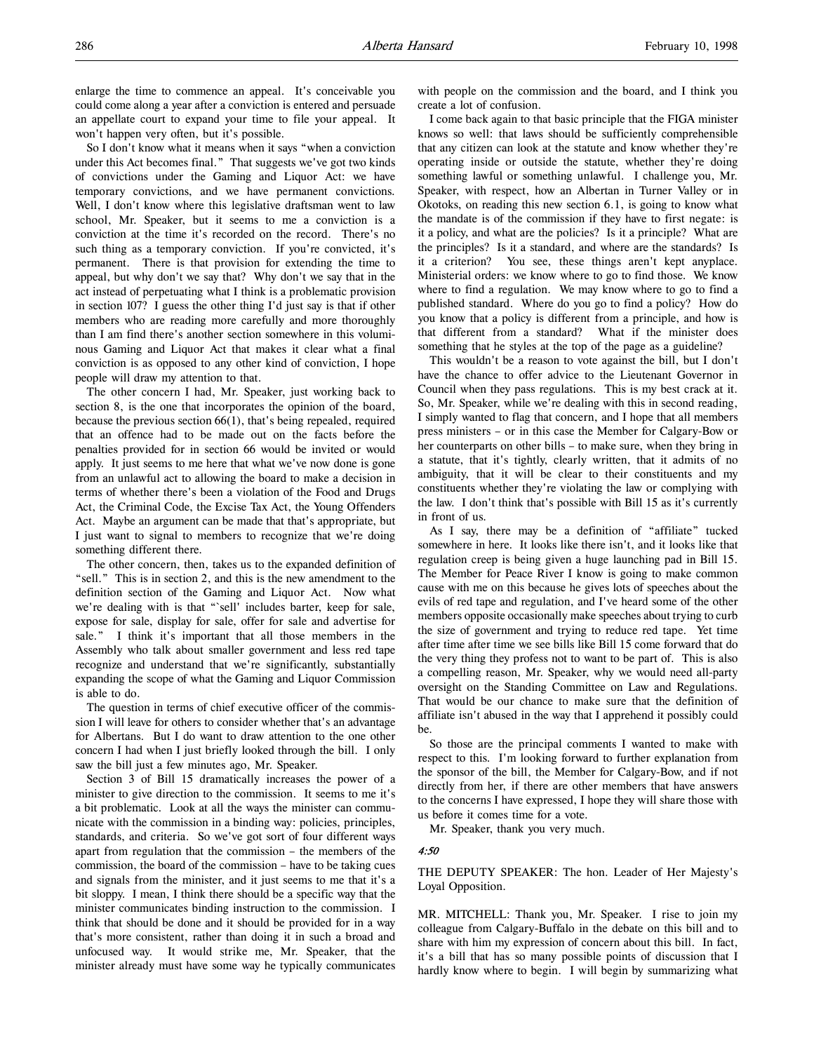enlarge the time to commence an appeal. It's conceivable you could come along a year after a conviction is entered and persuade an appellate court to expand your time to file your appeal. It won't happen very often, but it's possible.

So I don't know what it means when it says "when a conviction under this Act becomes final." That suggests we've got two kinds of convictions under the Gaming and Liquor Act: we have temporary convictions, and we have permanent convictions. Well, I don't know where this legislative draftsman went to law school, Mr. Speaker, but it seems to me a conviction is a conviction at the time it's recorded on the record. There's no such thing as a temporary conviction. If you're convicted, it's permanent. There is that provision for extending the time to appeal, but why don't we say that? Why don't we say that in the act instead of perpetuating what I think is a problematic provision in section 107? I guess the other thing I'd just say is that if other members who are reading more carefully and more thoroughly than I am find there's another section somewhere in this voluminous Gaming and Liquor Act that makes it clear what a final conviction is as opposed to any other kind of conviction, I hope people will draw my attention to that.

The other concern I had, Mr. Speaker, just working back to section 8, is the one that incorporates the opinion of the board, because the previous section 66(1), that's being repealed, required that an offence had to be made out on the facts before the penalties provided for in section 66 would be invited or would apply. It just seems to me here that what we've now done is gone from an unlawful act to allowing the board to make a decision in terms of whether there's been a violation of the Food and Drugs Act, the Criminal Code, the Excise Tax Act, the Young Offenders Act. Maybe an argument can be made that that's appropriate, but I just want to signal to members to recognize that we're doing something different there.

The other concern, then, takes us to the expanded definition of "sell." This is in section 2, and this is the new amendment to the definition section of the Gaming and Liquor Act. Now what we're dealing with is that "`sell' includes barter, keep for sale, expose for sale, display for sale, offer for sale and advertise for sale." I think it's important that all those members in the Assembly who talk about smaller government and less red tape recognize and understand that we're significantly, substantially expanding the scope of what the Gaming and Liquor Commission is able to do.

The question in terms of chief executive officer of the commission I will leave for others to consider whether that's an advantage for Albertans. But I do want to draw attention to the one other concern I had when I just briefly looked through the bill. I only saw the bill just a few minutes ago, Mr. Speaker.

Section 3 of Bill 15 dramatically increases the power of a minister to give direction to the commission. It seems to me it's a bit problematic. Look at all the ways the minister can communicate with the commission in a binding way: policies, principles, standards, and criteria. So we've got sort of four different ways apart from regulation that the commission – the members of the commission, the board of the commission – have to be taking cues and signals from the minister, and it just seems to me that it's a bit sloppy. I mean, I think there should be a specific way that the minister communicates binding instruction to the commission. I think that should be done and it should be provided for in a way that's more consistent, rather than doing it in such a broad and unfocused way. It would strike me, Mr. Speaker, that the minister already must have some way he typically communicates with people on the commission and the board, and I think you create a lot of confusion.

I come back again to that basic principle that the FIGA minister knows so well: that laws should be sufficiently comprehensible that any citizen can look at the statute and know whether they're operating inside or outside the statute, whether they're doing something lawful or something unlawful. I challenge you, Mr. Speaker, with respect, how an Albertan in Turner Valley or in Okotoks, on reading this new section 6.1, is going to know what the mandate is of the commission if they have to first negate: is it a policy, and what are the policies? Is it a principle? What are the principles? Is it a standard, and where are the standards? Is it a criterion? You see, these things aren't kept anyplace. Ministerial orders: we know where to go to find those. We know where to find a regulation. We may know where to go to find a published standard. Where do you go to find a policy? How do you know that a policy is different from a principle, and how is that different from a standard? What if the minister does something that he styles at the top of the page as a guideline?

This wouldn't be a reason to vote against the bill, but I don't have the chance to offer advice to the Lieutenant Governor in Council when they pass regulations. This is my best crack at it. So, Mr. Speaker, while we're dealing with this in second reading, I simply wanted to flag that concern, and I hope that all members press ministers – or in this case the Member for Calgary-Bow or her counterparts on other bills – to make sure, when they bring in a statute, that it's tightly, clearly written, that it admits of no ambiguity, that it will be clear to their constituents and my constituents whether they're violating the law or complying with the law. I don't think that's possible with Bill 15 as it's currently in front of us.

As I say, there may be a definition of "affiliate" tucked somewhere in here. It looks like there isn't, and it looks like that regulation creep is being given a huge launching pad in Bill 15. The Member for Peace River I know is going to make common cause with me on this because he gives lots of speeches about the evils of red tape and regulation, and I've heard some of the other members opposite occasionally make speeches about trying to curb the size of government and trying to reduce red tape. Yet time after time after time we see bills like Bill 15 come forward that do the very thing they profess not to want to be part of. This is also a compelling reason, Mr. Speaker, why we would need all-party oversight on the Standing Committee on Law and Regulations. That would be our chance to make sure that the definition of affiliate isn't abused in the way that I apprehend it possibly could be.

So those are the principal comments I wanted to make with respect to this. I'm looking forward to further explanation from the sponsor of the bill, the Member for Calgary-Bow, and if not directly from her, if there are other members that have answers to the concerns I have expressed, I hope they will share those with us before it comes time for a vote.

Mr. Speaker, thank you very much.

#### 4:50

THE DEPUTY SPEAKER: The hon. Leader of Her Majesty's Loyal Opposition.

MR. MITCHELL: Thank you, Mr. Speaker. I rise to join my colleague from Calgary-Buffalo in the debate on this bill and to share with him my expression of concern about this bill. In fact, it's a bill that has so many possible points of discussion that I hardly know where to begin. I will begin by summarizing what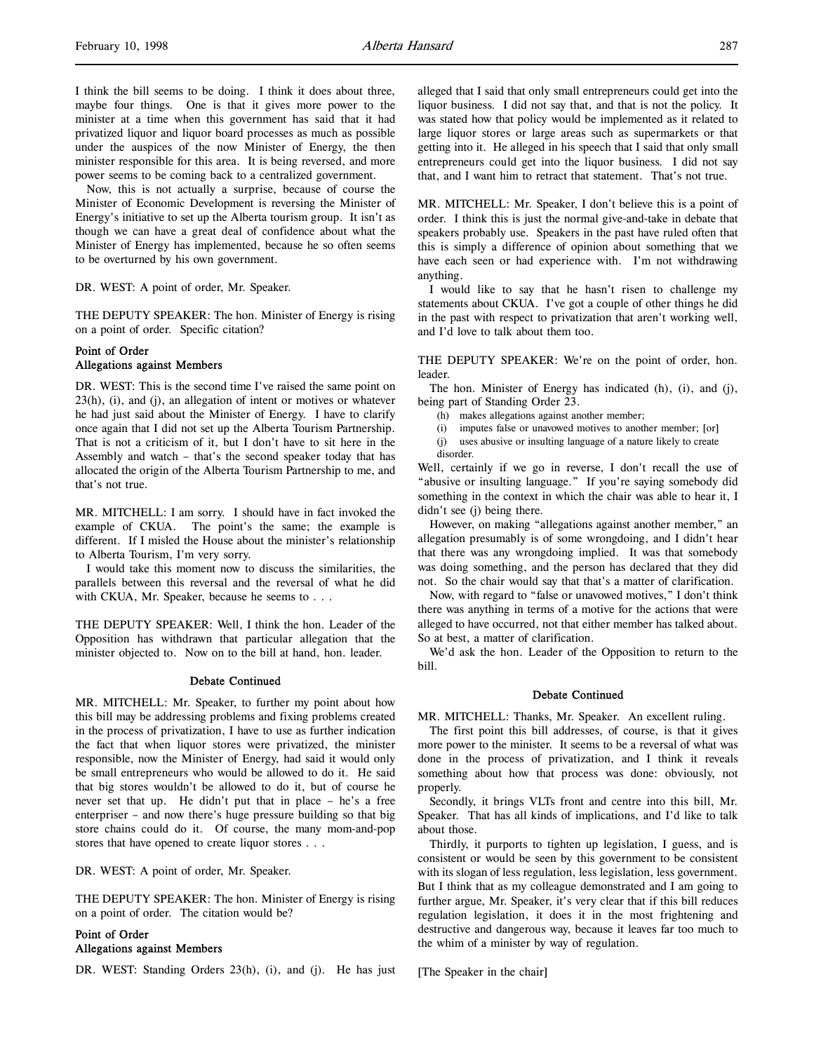I think the bill seems to be doing. I think it does about three, maybe four things. One is that it gives more power to the minister at a time when this government has said that it had privatized liquor and liquor board processes as much as possible under the auspices of the now Minister of Energy, the then minister responsible for this area. It is being reversed, and more power seems to be coming back to a centralized government.

Now, this is not actually a surprise, because of course the Minister of Economic Development is reversing the Minister of Energy's initiative to set up the Alberta tourism group. It isn't as though we can have a great deal of confidence about what the Minister of Energy has implemented, because he so often seems to be overturned by his own government.

DR. WEST: A point of order, Mr. Speaker.

THE DEPUTY SPEAKER: The hon. Minister of Energy is rising on a point of order. Specific citation?

# Point of Order Allegations against Members

DR. WEST: This is the second time I've raised the same point on 23(h), (i), and (j), an allegation of intent or motives or whatever he had just said about the Minister of Energy. I have to clarify once again that I did not set up the Alberta Tourism Partnership. That is not a criticism of it, but I don't have to sit here in the Assembly and watch – that's the second speaker today that has allocated the origin of the Alberta Tourism Partnership to me, and that's not true.

MR. MITCHELL: I am sorry. I should have in fact invoked the example of CKUA. The point's the same; the example is different. If I misled the House about the minister's relationship to Alberta Tourism, I'm very sorry.

I would take this moment now to discuss the similarities, the parallels between this reversal and the reversal of what he did with CKUA, Mr. Speaker, because he seems to . . .

THE DEPUTY SPEAKER: Well, I think the hon. Leader of the Opposition has withdrawn that particular allegation that the minister objected to. Now on to the bill at hand, hon. leader.

### Debate Continued

MR. MITCHELL: Mr. Speaker, to further my point about how this bill may be addressing problems and fixing problems created in the process of privatization, I have to use as further indication the fact that when liquor stores were privatized, the minister responsible, now the Minister of Energy, had said it would only be small entrepreneurs who would be allowed to do it. He said that big stores wouldn't be allowed to do it, but of course he never set that up. He didn't put that in place – he's a free enterpriser – and now there's huge pressure building so that big store chains could do it. Of course, the many mom-and-pop stores that have opened to create liquor stores . . .

DR. WEST: A point of order, Mr. Speaker.

THE DEPUTY SPEAKER: The hon. Minister of Energy is rising on a point of order. The citation would be?

# Point of Order Allegations against Members

DR. WEST: Standing Orders 23(h), (i), and (j). He has just

alleged that I said that only small entrepreneurs could get into the liquor business. I did not say that, and that is not the policy. It was stated how that policy would be implemented as it related to large liquor stores or large areas such as supermarkets or that getting into it. He alleged in his speech that I said that only small entrepreneurs could get into the liquor business. I did not say that, and I want him to retract that statement. That's not true.

MR. MITCHELL: Mr. Speaker, I don't believe this is a point of order. I think this is just the normal give-and-take in debate that speakers probably use. Speakers in the past have ruled often that this is simply a difference of opinion about something that we have each seen or had experience with. I'm not withdrawing anything.

I would like to say that he hasn't risen to challenge my statements about CKUA. I've got a couple of other things he did in the past with respect to privatization that aren't working well, and I'd love to talk about them too.

THE DEPUTY SPEAKER: We're on the point of order, hon. leader.

The hon. Minister of Energy has indicated (h), (i), and (j), being part of Standing Order 23.

- (h) makes allegations against another member;
- (i) imputes false or unavowed motives to another member; [or]
- (j) uses abusive or insulting language of a nature likely to create disorder.

Well, certainly if we go in reverse, I don't recall the use of "abusive or insulting language." If you're saying somebody did something in the context in which the chair was able to hear it, I didn't see (j) being there.

However, on making "allegations against another member," an allegation presumably is of some wrongdoing, and I didn't hear that there was any wrongdoing implied. It was that somebody was doing something, and the person has declared that they did not. So the chair would say that that's a matter of clarification.

Now, with regard to "false or unavowed motives," I don't think there was anything in terms of a motive for the actions that were alleged to have occurred, not that either member has talked about. So at best, a matter of clarification.

We'd ask the hon. Leader of the Opposition to return to the bill.

### Debate Continued

MR. MITCHELL: Thanks, Mr. Speaker. An excellent ruling.

The first point this bill addresses, of course, is that it gives more power to the minister. It seems to be a reversal of what was done in the process of privatization, and I think it reveals something about how that process was done: obviously, not properly.

Secondly, it brings VLTs front and centre into this bill, Mr. Speaker. That has all kinds of implications, and I'd like to talk about those.

Thirdly, it purports to tighten up legislation, I guess, and is consistent or would be seen by this government to be consistent with its slogan of less regulation, less legislation, less government. But I think that as my colleague demonstrated and I am going to further argue, Mr. Speaker, it's very clear that if this bill reduces regulation legislation, it does it in the most frightening and destructive and dangerous way, because it leaves far too much to the whim of a minister by way of regulation.

[The Speaker in the chair]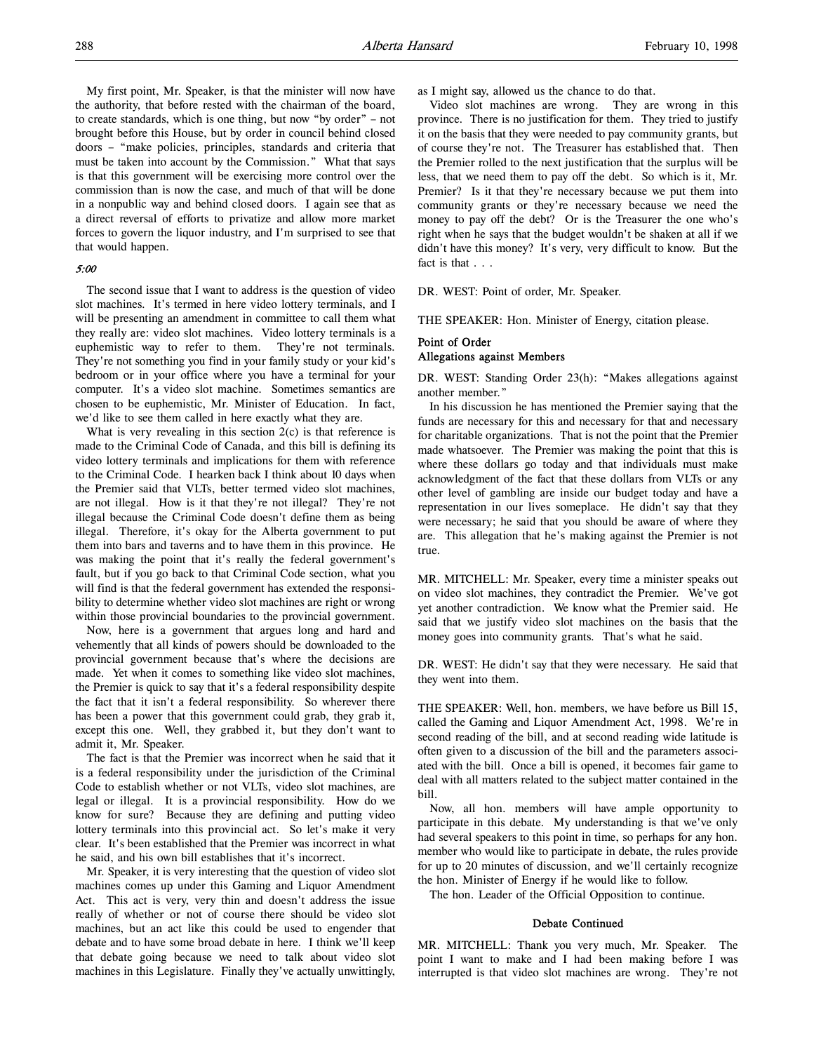My first point, Mr. Speaker, is that the minister will now have the authority, that before rested with the chairman of the board, to create standards, which is one thing, but now "by order" – not brought before this House, but by order in council behind closed doors – "make policies, principles, standards and criteria that must be taken into account by the Commission." What that says is that this government will be exercising more control over the commission than is now the case, and much of that will be done in a nonpublic way and behind closed doors. I again see that as a direct reversal of efforts to privatize and allow more market forces to govern the liquor industry, and I'm surprised to see that that would happen.

#### 5:00

The second issue that I want to address is the question of video slot machines. It's termed in here video lottery terminals, and I will be presenting an amendment in committee to call them what they really are: video slot machines. Video lottery terminals is a euphemistic way to refer to them. They're not terminals. They're not something you find in your family study or your kid's bedroom or in your office where you have a terminal for your computer. It's a video slot machine. Sometimes semantics are chosen to be euphemistic, Mr. Minister of Education. In fact, we'd like to see them called in here exactly what they are.

What is very revealing in this section 2(c) is that reference is made to the Criminal Code of Canada, and this bill is defining its video lottery terminals and implications for them with reference to the Criminal Code. I hearken back I think about 10 days when the Premier said that VLTs, better termed video slot machines, are not illegal. How is it that they're not illegal? They're not illegal because the Criminal Code doesn't define them as being illegal. Therefore, it's okay for the Alberta government to put them into bars and taverns and to have them in this province. He was making the point that it's really the federal government's fault, but if you go back to that Criminal Code section, what you will find is that the federal government has extended the responsibility to determine whether video slot machines are right or wrong within those provincial boundaries to the provincial government.

Now, here is a government that argues long and hard and vehemently that all kinds of powers should be downloaded to the provincial government because that's where the decisions are made. Yet when it comes to something like video slot machines, the Premier is quick to say that it's a federal responsibility despite the fact that it isn't a federal responsibility. So wherever there has been a power that this government could grab, they grab it, except this one. Well, they grabbed it, but they don't want to admit it, Mr. Speaker.

The fact is that the Premier was incorrect when he said that it is a federal responsibility under the jurisdiction of the Criminal Code to establish whether or not VLTs, video slot machines, are legal or illegal. It is a provincial responsibility. How do we know for sure? Because they are defining and putting video lottery terminals into this provincial act. So let's make it very clear. It's been established that the Premier was incorrect in what he said, and his own bill establishes that it's incorrect.

Mr. Speaker, it is very interesting that the question of video slot machines comes up under this Gaming and Liquor Amendment Act. This act is very, very thin and doesn't address the issue really of whether or not of course there should be video slot machines, but an act like this could be used to engender that debate and to have some broad debate in here. I think we'll keep that debate going because we need to talk about video slot machines in this Legislature. Finally they've actually unwittingly,

as I might say, allowed us the chance to do that.

Video slot machines are wrong. They are wrong in this province. There is no justification for them. They tried to justify it on the basis that they were needed to pay community grants, but of course they're not. The Treasurer has established that. Then the Premier rolled to the next justification that the surplus will be less, that we need them to pay off the debt. So which is it, Mr. Premier? Is it that they're necessary because we put them into community grants or they're necessary because we need the money to pay off the debt? Or is the Treasurer the one who's right when he says that the budget wouldn't be shaken at all if we didn't have this money? It's very, very difficult to know. But the fact is that . . .

DR. WEST: Point of order, Mr. Speaker.

THE SPEAKER: Hon. Minister of Energy, citation please.

## Point of Order Allegations against Members

DR. WEST: Standing Order 23(h): "Makes allegations against another member."

In his discussion he has mentioned the Premier saying that the funds are necessary for this and necessary for that and necessary for charitable organizations. That is not the point that the Premier made whatsoever. The Premier was making the point that this is where these dollars go today and that individuals must make acknowledgment of the fact that these dollars from VLTs or any other level of gambling are inside our budget today and have a representation in our lives someplace. He didn't say that they were necessary; he said that you should be aware of where they are. This allegation that he's making against the Premier is not true.

MR. MITCHELL: Mr. Speaker, every time a minister speaks out on video slot machines, they contradict the Premier. We've got yet another contradiction. We know what the Premier said. He said that we justify video slot machines on the basis that the money goes into community grants. That's what he said.

DR. WEST: He didn't say that they were necessary. He said that they went into them.

THE SPEAKER: Well, hon. members, we have before us Bill 15, called the Gaming and Liquor Amendment Act, 1998. We're in second reading of the bill, and at second reading wide latitude is often given to a discussion of the bill and the parameters associated with the bill. Once a bill is opened, it becomes fair game to deal with all matters related to the subject matter contained in the bill.

Now, all hon. members will have ample opportunity to participate in this debate. My understanding is that we've only had several speakers to this point in time, so perhaps for any hon. member who would like to participate in debate, the rules provide for up to 20 minutes of discussion, and we'll certainly recognize the hon. Minister of Energy if he would like to follow.

The hon. Leader of the Official Opposition to continue.

# Debate Continued

MR. MITCHELL: Thank you very much, Mr. Speaker. The point I want to make and I had been making before I was interrupted is that video slot machines are wrong. They're not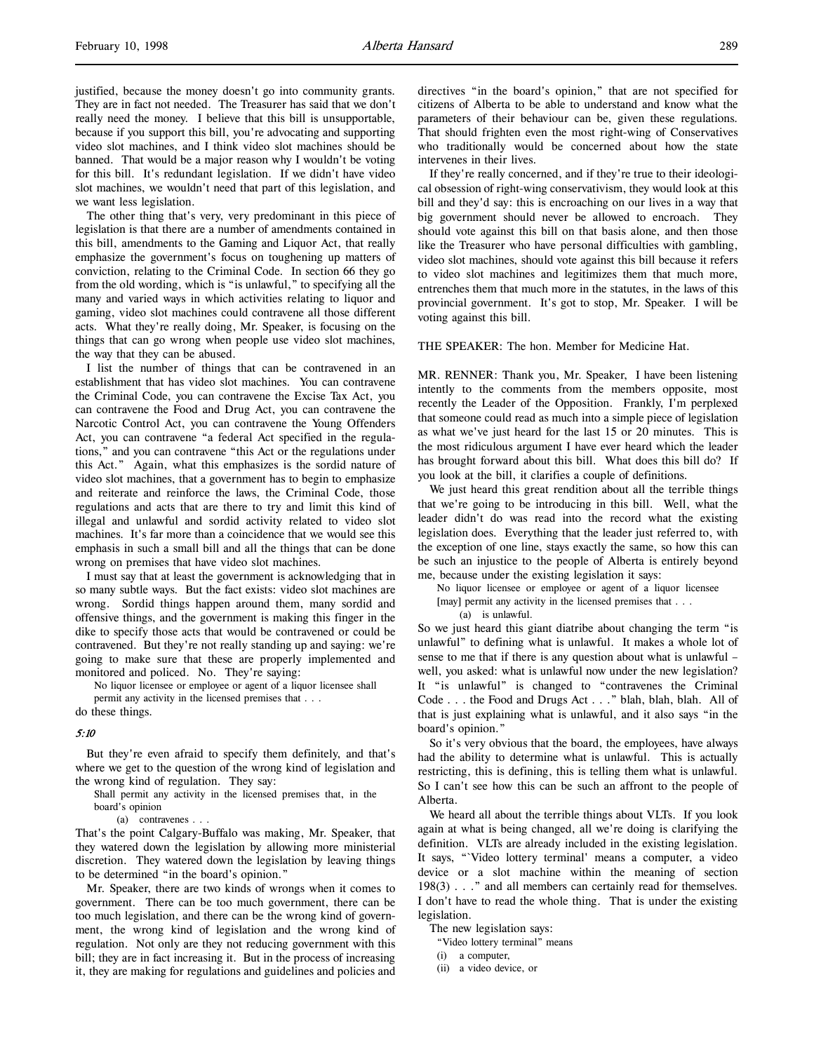justified, because the money doesn't go into community grants. They are in fact not needed. The Treasurer has said that we don't really need the money. I believe that this bill is unsupportable, because if you support this bill, you're advocating and supporting video slot machines, and I think video slot machines should be banned. That would be a major reason why I wouldn't be voting for this bill. It's redundant legislation. If we didn't have video slot machines, we wouldn't need that part of this legislation, and we want less legislation.

The other thing that's very, very predominant in this piece of legislation is that there are a number of amendments contained in this bill, amendments to the Gaming and Liquor Act, that really emphasize the government's focus on toughening up matters of conviction, relating to the Criminal Code. In section 66 they go from the old wording, which is "is unlawful," to specifying all the many and varied ways in which activities relating to liquor and gaming, video slot machines could contravene all those different acts. What they're really doing, Mr. Speaker, is focusing on the things that can go wrong when people use video slot machines, the way that they can be abused.

I list the number of things that can be contravened in an establishment that has video slot machines. You can contravene the Criminal Code, you can contravene the Excise Tax Act, you can contravene the Food and Drug Act, you can contravene the Narcotic Control Act, you can contravene the Young Offenders Act, you can contravene "a federal Act specified in the regulations," and you can contravene "this Act or the regulations under this Act." Again, what this emphasizes is the sordid nature of video slot machines, that a government has to begin to emphasize and reiterate and reinforce the laws, the Criminal Code, those regulations and acts that are there to try and limit this kind of illegal and unlawful and sordid activity related to video slot machines. It's far more than a coincidence that we would see this emphasis in such a small bill and all the things that can be done wrong on premises that have video slot machines.

I must say that at least the government is acknowledging that in so many subtle ways. But the fact exists: video slot machines are wrong. Sordid things happen around them, many sordid and offensive things, and the government is making this finger in the dike to specify those acts that would be contravened or could be contravened. But they're not really standing up and saying: we're going to make sure that these are properly implemented and monitored and policed. No. They're saying:

No liquor licensee or employee or agent of a liquor licensee shall permit any activity in the licensed premises that . . .

do these things.

#### 5:10

But they're even afraid to specify them definitely, and that's where we get to the question of the wrong kind of legislation and the wrong kind of regulation. They say:

Shall permit any activity in the licensed premises that, in the board's opinion

(a) contravenes . . .

That's the point Calgary-Buffalo was making, Mr. Speaker, that they watered down the legislation by allowing more ministerial discretion. They watered down the legislation by leaving things to be determined "in the board's opinion."

Mr. Speaker, there are two kinds of wrongs when it comes to government. There can be too much government, there can be too much legislation, and there can be the wrong kind of government, the wrong kind of legislation and the wrong kind of regulation. Not only are they not reducing government with this bill; they are in fact increasing it. But in the process of increasing it, they are making for regulations and guidelines and policies and

directives "in the board's opinion," that are not specified for citizens of Alberta to be able to understand and know what the parameters of their behaviour can be, given these regulations. That should frighten even the most right-wing of Conservatives who traditionally would be concerned about how the state intervenes in their lives.

If they're really concerned, and if they're true to their ideological obsession of right-wing conservativism, they would look at this bill and they'd say: this is encroaching on our lives in a way that big government should never be allowed to encroach. They should vote against this bill on that basis alone, and then those like the Treasurer who have personal difficulties with gambling, video slot machines, should vote against this bill because it refers to video slot machines and legitimizes them that much more, entrenches them that much more in the statutes, in the laws of this provincial government. It's got to stop, Mr. Speaker. I will be voting against this bill.

THE SPEAKER: The hon. Member for Medicine Hat.

MR. RENNER: Thank you, Mr. Speaker, I have been listening intently to the comments from the members opposite, most recently the Leader of the Opposition. Frankly, I'm perplexed that someone could read as much into a simple piece of legislation as what we've just heard for the last 15 or 20 minutes. This is the most ridiculous argument I have ever heard which the leader has brought forward about this bill. What does this bill do? If you look at the bill, it clarifies a couple of definitions.

We just heard this great rendition about all the terrible things that we're going to be introducing in this bill. Well, what the leader didn't do was read into the record what the existing legislation does. Everything that the leader just referred to, with the exception of one line, stays exactly the same, so how this can be such an injustice to the people of Alberta is entirely beyond me, because under the existing legislation it says:

No liquor licensee or employee or agent of a liquor licensee [may] permit any activity in the licensed premises that . . .

(a) is unlawful.

So we just heard this giant diatribe about changing the term "is unlawful" to defining what is unlawful. It makes a whole lot of sense to me that if there is any question about what is unlawful – well, you asked: what is unlawful now under the new legislation? It "is unlawful" is changed to "contravenes the Criminal Code . . . the Food and Drugs Act . . ." blah, blah, blah. All of that is just explaining what is unlawful, and it also says "in the board's opinion."

So it's very obvious that the board, the employees, have always had the ability to determine what is unlawful. This is actually restricting, this is defining, this is telling them what is unlawful. So I can't see how this can be such an affront to the people of Alberta.

We heard all about the terrible things about VLTs. If you look again at what is being changed, all we're doing is clarifying the definition. VLTs are already included in the existing legislation. It says, "`Video lottery terminal' means a computer, a video device or a slot machine within the meaning of section 198(3) . . ." and all members can certainly read for themselves. I don't have to read the whole thing. That is under the existing legislation.

The new legislation says:

"Video lottery terminal" means

(i) a computer,

(ii) a video device, or